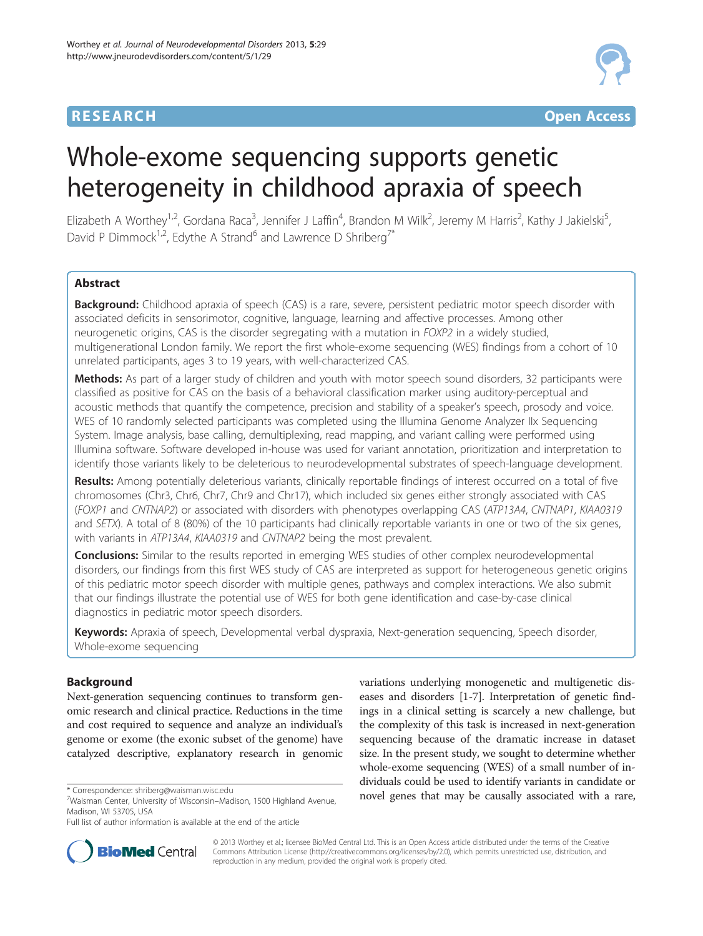## **RESEARCH CHE Open Access**



# Whole-exome sequencing supports genetic heterogeneity in childhood apraxia of speech

Elizabeth A Worthey<sup>1,2</sup>, Gordana Raca<sup>3</sup>, Jennifer J Laffin<sup>4</sup>, Brandon M Wilk<sup>2</sup>, Jeremy M Harris<sup>2</sup>, Kathy J Jakielski<sup>5</sup> , David P Dimmock<sup>1,2</sup>, Edythe A Strand<sup>6</sup> and Lawrence D Shriberg<sup>7\*</sup>

## Abstract

Background: Childhood apraxia of speech (CAS) is a rare, severe, persistent pediatric motor speech disorder with associated deficits in sensorimotor, cognitive, language, learning and affective processes. Among other neurogenetic origins, CAS is the disorder segregating with a mutation in FOXP2 in a widely studied, multigenerational London family. We report the first whole-exome sequencing (WES) findings from a cohort of 10 unrelated participants, ages 3 to 19 years, with well-characterized CAS.

Methods: As part of a larger study of children and youth with motor speech sound disorders, 32 participants were classified as positive for CAS on the basis of a behavioral classification marker using auditory-perceptual and acoustic methods that quantify the competence, precision and stability of a speaker's speech, prosody and voice. WES of 10 randomly selected participants was completed using the Illumina Genome Analyzer IIx Sequencing System. Image analysis, base calling, demultiplexing, read mapping, and variant calling were performed using Illumina software. Software developed in-house was used for variant annotation, prioritization and interpretation to identify those variants likely to be deleterious to neurodevelopmental substrates of speech-language development.

Results: Among potentially deleterious variants, clinically reportable findings of interest occurred on a total of five chromosomes (Chr3, Chr6, Chr7, Chr9 and Chr17), which included six genes either strongly associated with CAS (FOXP1 and CNTNAP2) or associated with disorders with phenotypes overlapping CAS (ATP13A4, CNTNAP1, KIAA0319 and SETX). A total of 8 (80%) of the 10 participants had clinically reportable variants in one or two of the six genes, with variants in ATP13A4, KIAA0319 and CNTNAP2 being the most prevalent.

**Conclusions:** Similar to the results reported in emerging WES studies of other complex neurodevelopmental disorders, our findings from this first WES study of CAS are interpreted as support for heterogeneous genetic origins of this pediatric motor speech disorder with multiple genes, pathways and complex interactions. We also submit that our findings illustrate the potential use of WES for both gene identification and case-by-case clinical diagnostics in pediatric motor speech disorders.

Keywords: Apraxia of speech, Developmental verbal dyspraxia, Next-generation sequencing, Speech disorder, Whole-exome sequencing

## Background

Next-generation sequencing continues to transform genomic research and clinical practice. Reductions in the time and cost required to sequence and analyze an individual's genome or exome (the exonic subset of the genome) have catalyzed descriptive, explanatory research in genomic

**BioMed Central** 

Full list of author information is available at the end of the article



© 2013 Worthey et al.; licensee BioMed Central Ltd. This is an Open Access article distributed under the terms of the Creative Commons Attribution License [\(http://creativecommons.org/licenses/by/2.0\)](http://creativecommons.org/licenses/by/2.0), which permits unrestricted use, distribution, and reproduction in any medium, provided the original work is properly cited.

Waisman Center, University of Wisconsin–Madison, 1500 Highland Avenue, Madison, WI 53705, USA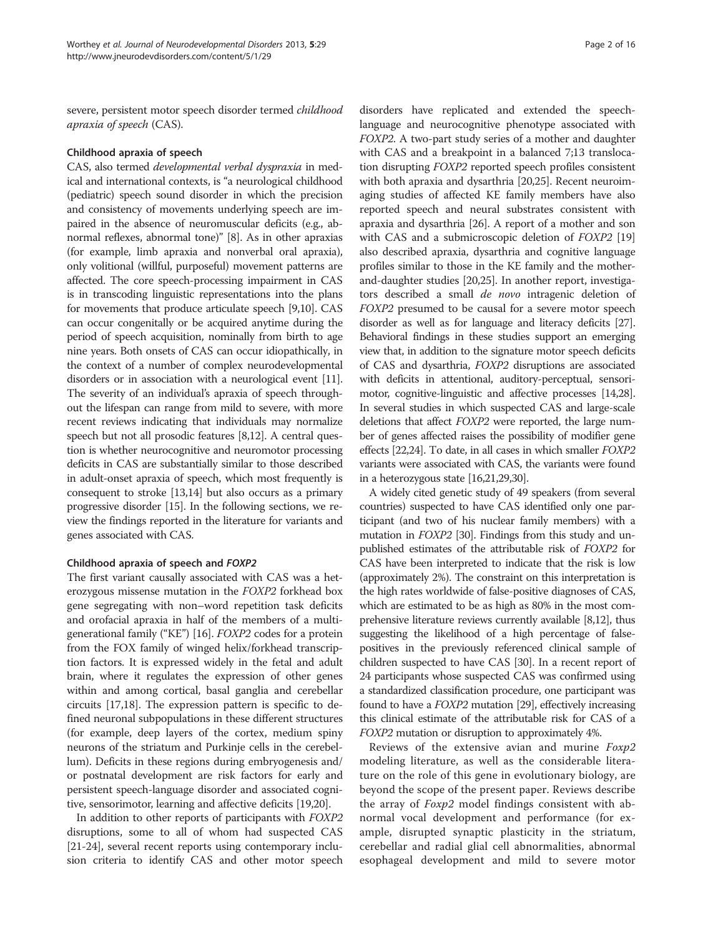severe, persistent motor speech disorder termed childhood apraxia of speech (CAS).

#### Childhood apraxia of speech

CAS, also termed developmental verbal dyspraxia in medical and international contexts, is "a neurological childhood (pediatric) speech sound disorder in which the precision and consistency of movements underlying speech are impaired in the absence of neuromuscular deficits (e.g., abnormal reflexes, abnormal tone)" [\[8](#page-12-0)]. As in other apraxias (for example, limb apraxia and nonverbal oral apraxia), only volitional (willful, purposeful) movement patterns are affected. The core speech-processing impairment in CAS is in transcoding linguistic representations into the plans for movements that produce articulate speech [\[9,10\]](#page-12-0). CAS can occur congenitally or be acquired anytime during the period of speech acquisition, nominally from birth to age nine years. Both onsets of CAS can occur idiopathically, in the context of a number of complex neurodevelopmental disorders or in association with a neurological event [\[11](#page-12-0)]. The severity of an individual's apraxia of speech throughout the lifespan can range from mild to severe, with more recent reviews indicating that individuals may normalize speech but not all prosodic features [[8,12\]](#page-12-0). A central question is whether neurocognitive and neuromotor processing deficits in CAS are substantially similar to those described in adult-onset apraxia of speech, which most frequently is consequent to stroke [[13,14\]](#page-12-0) but also occurs as a primary progressive disorder [\[15](#page-12-0)]. In the following sections, we review the findings reported in the literature for variants and genes associated with CAS.

## Childhood apraxia of speech and FOXP2

The first variant causally associated with CAS was a heterozygous missense mutation in the FOXP2 forkhead box gene segregating with non–word repetition task deficits and orofacial apraxia in half of the members of a multigenerational family ("KE") [\[16\]](#page-12-0). FOXP2 codes for a protein from the FOX family of winged helix/forkhead transcription factors. It is expressed widely in the fetal and adult brain, where it regulates the expression of other genes within and among cortical, basal ganglia and cerebellar circuits [[17,18](#page-12-0)]. The expression pattern is specific to defined neuronal subpopulations in these different structures (for example, deep layers of the cortex, medium spiny neurons of the striatum and Purkinje cells in the cerebellum). Deficits in these regions during embryogenesis and/ or postnatal development are risk factors for early and persistent speech-language disorder and associated cognitive, sensorimotor, learning and affective deficits [\[19,20](#page-12-0)].

In addition to other reports of participants with FOXP2 disruptions, some to all of whom had suspected CAS [[21](#page-12-0)-[24](#page-12-0)], several recent reports using contemporary inclusion criteria to identify CAS and other motor speech

disorders have replicated and extended the speechlanguage and neurocognitive phenotype associated with FOXP2. A two-part study series of a mother and daughter with CAS and a breakpoint in a balanced 7;13 translocation disrupting FOXP2 reported speech profiles consistent with both apraxia and dysarthria [\[20,25\]](#page-12-0). Recent neuroimaging studies of affected KE family members have also reported speech and neural substrates consistent with apraxia and dysarthria [\[26\]](#page-12-0). A report of a mother and son with CAS and a submicroscopic deletion of FOXP2 [[19](#page-12-0)] also described apraxia, dysarthria and cognitive language profiles similar to those in the KE family and the motherand-daughter studies [\[20,25\]](#page-12-0). In another report, investigators described a small de novo intragenic deletion of FOXP2 presumed to be causal for a severe motor speech disorder as well as for language and literacy deficits [\[27](#page-12-0)]. Behavioral findings in these studies support an emerging view that, in addition to the signature motor speech deficits of CAS and dysarthria, FOXP2 disruptions are associated with deficits in attentional, auditory-perceptual, sensorimotor, cognitive-linguistic and affective processes [[14,28](#page-12-0)]. In several studies in which suspected CAS and large-scale deletions that affect FOXP2 were reported, the large number of genes affected raises the possibility of modifier gene effects [\[22,24\]](#page-12-0). To date, in all cases in which smaller FOXP2 variants were associated with CAS, the variants were found in a heterozygous state [\[16,21,29,30](#page-12-0)].

A widely cited genetic study of 49 speakers (from several countries) suspected to have CAS identified only one participant (and two of his nuclear family members) with a mutation in FOXP2 [\[30](#page-12-0)]. Findings from this study and unpublished estimates of the attributable risk of FOXP2 for CAS have been interpreted to indicate that the risk is low (approximately 2%). The constraint on this interpretation is the high rates worldwide of false-positive diagnoses of CAS, which are estimated to be as high as 80% in the most comprehensive literature reviews currently available [\[8,12\]](#page-12-0), thus suggesting the likelihood of a high percentage of falsepositives in the previously referenced clinical sample of children suspected to have CAS [[30\]](#page-12-0). In a recent report of 24 participants whose suspected CAS was confirmed using a standardized classification procedure, one participant was found to have a FOXP2 mutation [[29](#page-12-0)], effectively increasing this clinical estimate of the attributable risk for CAS of a FOXP2 mutation or disruption to approximately 4%.

Reviews of the extensive avian and murine Foxp2 modeling literature, as well as the considerable literature on the role of this gene in evolutionary biology, are beyond the scope of the present paper. Reviews describe the array of Foxp2 model findings consistent with abnormal vocal development and performance (for example, disrupted synaptic plasticity in the striatum, cerebellar and radial glial cell abnormalities, abnormal esophageal development and mild to severe motor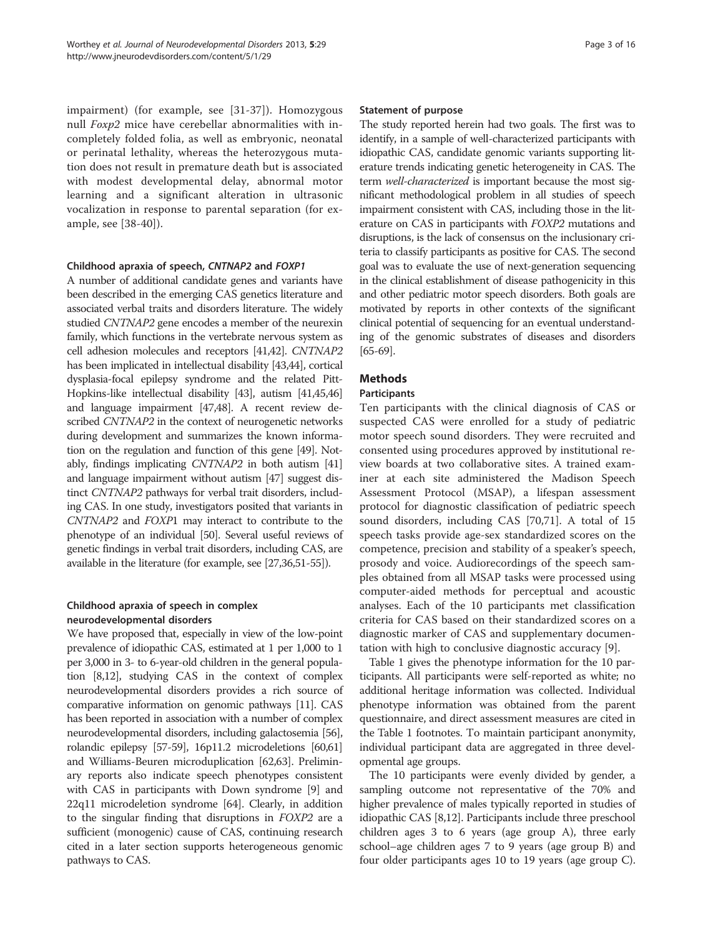impairment) (for example, see [\[31](#page-13-0)-[37\]](#page-13-0)). Homozygous null Foxp2 mice have cerebellar abnormalities with incompletely folded folia, as well as embryonic, neonatal or perinatal lethality, whereas the heterozygous mutation does not result in premature death but is associated with modest developmental delay, abnormal motor learning and a significant alteration in ultrasonic vocalization in response to parental separation (for example, see [[38-40](#page-13-0)]).

## Childhood apraxia of speech, CNTNAP2 and FOXP1

A number of additional candidate genes and variants have been described in the emerging CAS genetics literature and associated verbal traits and disorders literature. The widely studied CNTNAP2 gene encodes a member of the neurexin family, which functions in the vertebrate nervous system as cell adhesion molecules and receptors [\[41,42](#page-13-0)]. CNTNAP2 has been implicated in intellectual disability [\[43,44](#page-13-0)], cortical dysplasia-focal epilepsy syndrome and the related Pitt-Hopkins-like intellectual disability [[43](#page-13-0)], autism [\[41,45,46](#page-13-0)] and language impairment [\[47,48\]](#page-13-0). A recent review described CNTNAP2 in the context of neurogenetic networks during development and summarizes the known information on the regulation and function of this gene [\[49\]](#page-13-0). Notably, findings implicating CNTNAP2 in both autism [\[41](#page-13-0)] and language impairment without autism [\[47](#page-13-0)] suggest distinct CNTNAP2 pathways for verbal trait disorders, including CAS. In one study, investigators posited that variants in CNTNAP2 and FOXP1 may interact to contribute to the phenotype of an individual [\[50\]](#page-13-0). Several useful reviews of genetic findings in verbal trait disorders, including CAS, are available in the literature (for example, see [\[27,](#page-12-0)[36,51-55](#page-13-0)]).

## Childhood apraxia of speech in complex neurodevelopmental disorders

We have proposed that, especially in view of the low-point prevalence of idiopathic CAS, estimated at 1 per 1,000 to 1 per 3,000 in 3- to 6-year-old children in the general population [[8,12\]](#page-12-0), studying CAS in the context of complex neurodevelopmental disorders provides a rich source of comparative information on genomic pathways [[11](#page-12-0)]. CAS has been reported in association with a number of complex neurodevelopmental disorders, including galactosemia [\[56](#page-13-0)], rolandic epilepsy [[57-59\]](#page-13-0), 16p11.2 microdeletions [[60,61](#page-13-0)] and Williams-Beuren microduplication [\[62,63\]](#page-13-0). Preliminary reports also indicate speech phenotypes consistent with CAS in participants with Down syndrome [\[9](#page-12-0)] and 22q11 microdeletion syndrome [\[64\]](#page-13-0). Clearly, in addition to the singular finding that disruptions in FOXP2 are a sufficient (monogenic) cause of CAS, continuing research cited in a later section supports heterogeneous genomic pathways to CAS.

#### Statement of purpose

The study reported herein had two goals. The first was to identify, in a sample of well-characterized participants with idiopathic CAS, candidate genomic variants supporting literature trends indicating genetic heterogeneity in CAS. The term well-characterized is important because the most significant methodological problem in all studies of speech impairment consistent with CAS, including those in the literature on CAS in participants with FOXP2 mutations and disruptions, is the lack of consensus on the inclusionary criteria to classify participants as positive for CAS. The second goal was to evaluate the use of next-generation sequencing in the clinical establishment of disease pathogenicity in this and other pediatric motor speech disorders. Both goals are motivated by reports in other contexts of the significant clinical potential of sequencing for an eventual understanding of the genomic substrates of diseases and disorders [[65](#page-13-0)-[69\]](#page-13-0).

## Methods

#### **Participants**

Ten participants with the clinical diagnosis of CAS or suspected CAS were enrolled for a study of pediatric motor speech sound disorders. They were recruited and consented using procedures approved by institutional review boards at two collaborative sites. A trained examiner at each site administered the Madison Speech Assessment Protocol (MSAP), a lifespan assessment protocol for diagnostic classification of pediatric speech sound disorders, including CAS [[70,71\]](#page-14-0). A total of 15 speech tasks provide age-sex standardized scores on the competence, precision and stability of a speaker's speech, prosody and voice. Audiorecordings of the speech samples obtained from all MSAP tasks were processed using computer-aided methods for perceptual and acoustic analyses. Each of the 10 participants met classification criteria for CAS based on their standardized scores on a diagnostic marker of CAS and supplementary documentation with high to conclusive diagnostic accuracy [[9](#page-12-0)].

Table [1](#page-3-0) gives the phenotype information for the 10 participants. All participants were self-reported as white; no additional heritage information was collected. Individual phenotype information was obtained from the parent questionnaire, and direct assessment measures are cited in the Table [1](#page-3-0) footnotes. To maintain participant anonymity, individual participant data are aggregated in three developmental age groups.

The 10 participants were evenly divided by gender, a sampling outcome not representative of the 70% and higher prevalence of males typically reported in studies of idiopathic CAS [\[8,12\]](#page-12-0). Participants include three preschool children ages 3 to 6 years (age group A), three early school–age children ages 7 to 9 years (age group B) and four older participants ages 10 to 19 years (age group C).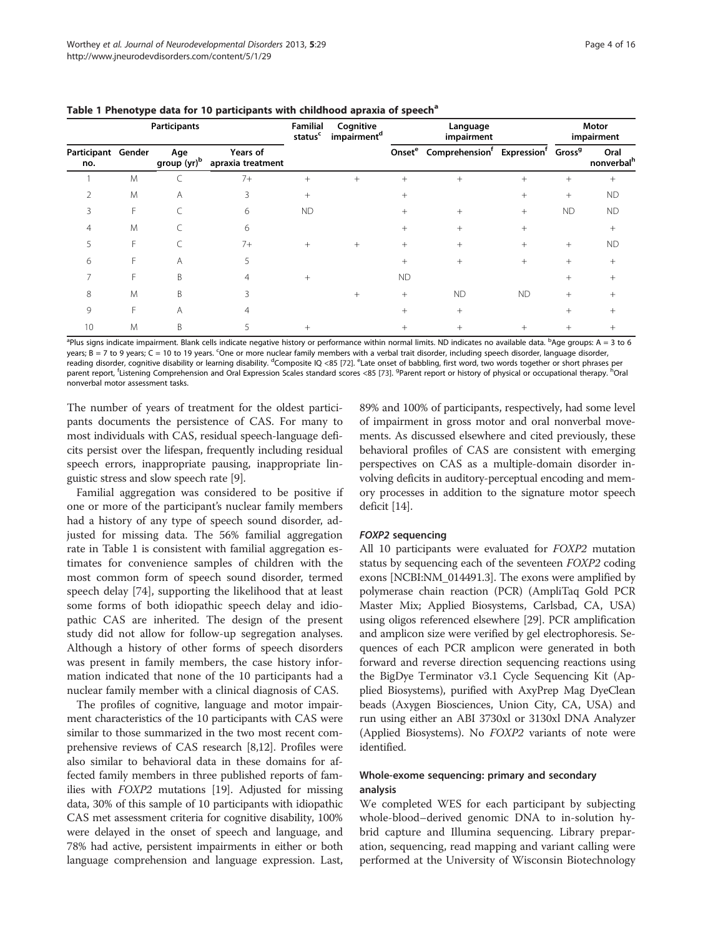| Participants              |    |                                |                               | Familial<br>status <sup>c</sup> | Cognitive<br>impairment <sup>d</sup> | Language<br>impairment |                                                                                          |           | Motor<br>impairment |                                |
|---------------------------|----|--------------------------------|-------------------------------|---------------------------------|--------------------------------------|------------------------|------------------------------------------------------------------------------------------|-----------|---------------------|--------------------------------|
| Participant Gender<br>no. |    | Age<br>group (yr) <sup>b</sup> | Years of<br>apraxia treatment |                                 |                                      |                        | Onset <sup>e</sup> Comprehension <sup>f</sup> Expression <sup>f</sup> Gross <sup>9</sup> |           |                     | Oral<br>nonverbal <sup>h</sup> |
|                           | M  |                                | $7+$                          | $^{+}$                          | $^{+}$                               | $^{+}$                 | $+$                                                                                      | $^{+}$    | $^{+}$              | $^{+}$                         |
|                           | M  | A                              | ζ                             |                                 |                                      |                        |                                                                                          |           | $^{+}$              | <b>ND</b>                      |
|                           | F  |                                | 6                             | <b>ND</b>                       |                                      | $^{+}$                 | $^{+}$                                                                                   | $^{+}$    | <b>ND</b>           | <b>ND</b>                      |
|                           | M  |                                | 6                             |                                 |                                      | $+$                    | $^{+}$                                                                                   |           |                     | $^{+}$                         |
|                           | F. |                                | $7+$                          |                                 | $\! +$                               | $+$                    | $^{+}$                                                                                   | $^{+}$    | $^{+}$              | <b>ND</b>                      |
| 6                         | F  | Α                              | 5                             |                                 |                                      | $^{+}$                 | $^{+}$                                                                                   | $^{+}$    | $^{+}$              | $^{+}$                         |
|                           |    | <sub>B</sub>                   |                               |                                 |                                      | <b>ND</b>              |                                                                                          |           | $^+$                | $^+$                           |
| 8                         | M  | B                              |                               |                                 | $\hskip 0.025cm +$                   | $+$                    | <b>ND</b>                                                                                | <b>ND</b> |                     |                                |
| 9                         |    | A                              |                               |                                 |                                      | $^{+}$                 | $^{+}$                                                                                   |           | $^+$                | $^+$                           |
| 10                        | Μ  | B                              |                               |                                 |                                      |                        |                                                                                          |           |                     |                                |

<span id="page-3-0"></span>Table 1 Phenotype data for 10 participants with childhood apraxia of speech<sup>a</sup>

<sup>a</sup>Plus signs indicate impairment. Blank cells indicate negative history or performance within normal limits. ND indicates no available data. <sup>b</sup>Age groups: A = 3 to 6 years;  $\bar{\bf B}$  = 7 to 9 years; C = 10 to 19 years. <sup>c</sup>One or more nuclear family members with a verbal trait disorder, including speech disorder, language disorder, reading disorder, cognitive disability or learning disability. <sup>d</sup>Composite IQ <85 [\[72](#page-14-0)]. <sup>e</sup>Late onset of babbling, first word, two words together or short phrases per parent report, <sup>f</sup>Listening Comprehension and Oral Expression Scales standard scores <85 [[73](#page-14-0)]. <sup>9</sup>Parent report or history of physical or occupational therapy. <sup>h</sup>Oral nonverbal motor assessment tasks.

The number of years of treatment for the oldest participants documents the persistence of CAS. For many to most individuals with CAS, residual speech-language deficits persist over the lifespan, frequently including residual speech errors, inappropriate pausing, inappropriate linguistic stress and slow speech rate [\[9](#page-12-0)].

Familial aggregation was considered to be positive if one or more of the participant's nuclear family members had a history of any type of speech sound disorder, adjusted for missing data. The 56% familial aggregation rate in Table 1 is consistent with familial aggregation estimates for convenience samples of children with the most common form of speech sound disorder, termed speech delay [\[74](#page-14-0)], supporting the likelihood that at least some forms of both idiopathic speech delay and idiopathic CAS are inherited. The design of the present study did not allow for follow-up segregation analyses. Although a history of other forms of speech disorders was present in family members, the case history information indicated that none of the 10 participants had a nuclear family member with a clinical diagnosis of CAS.

The profiles of cognitive, language and motor impairment characteristics of the 10 participants with CAS were similar to those summarized in the two most recent comprehensive reviews of CAS research [\[8,12\]](#page-12-0). Profiles were also similar to behavioral data in these domains for affected family members in three published reports of families with FOXP2 mutations [[19](#page-12-0)]. Adjusted for missing data, 30% of this sample of 10 participants with idiopathic CAS met assessment criteria for cognitive disability, 100% were delayed in the onset of speech and language, and 78% had active, persistent impairments in either or both language comprehension and language expression. Last,

89% and 100% of participants, respectively, had some level of impairment in gross motor and oral nonverbal movements. As discussed elsewhere and cited previously, these behavioral profiles of CAS are consistent with emerging perspectives on CAS as a multiple-domain disorder involving deficits in auditory-perceptual encoding and memory processes in addition to the signature motor speech deficit [[14\]](#page-12-0).

## FOXP2 sequencing

All 10 participants were evaluated for FOXP2 mutation status by sequencing each of the seventeen FOXP2 coding exons [NCBI:NM\_014491.3]. The exons were amplified by polymerase chain reaction (PCR) (AmpliTaq Gold PCR Master Mix; Applied Biosystems, Carlsbad, CA, USA) using oligos referenced elsewhere [[29](#page-12-0)]. PCR amplification and amplicon size were verified by gel electrophoresis. Sequences of each PCR amplicon were generated in both forward and reverse direction sequencing reactions using the BigDye Terminator v3.1 Cycle Sequencing Kit (Applied Biosystems), purified with AxyPrep Mag DyeClean beads (Axygen Biosciences, Union City, CA, USA) and run using either an ABI 3730xl or 3130xl DNA Analyzer (Applied Biosystems). No FOXP2 variants of note were identified.

## Whole-exome sequencing: primary and secondary analysis

We completed WES for each participant by subjecting whole-blood–derived genomic DNA to in-solution hybrid capture and Illumina sequencing. Library preparation, sequencing, read mapping and variant calling were performed at the University of Wisconsin Biotechnology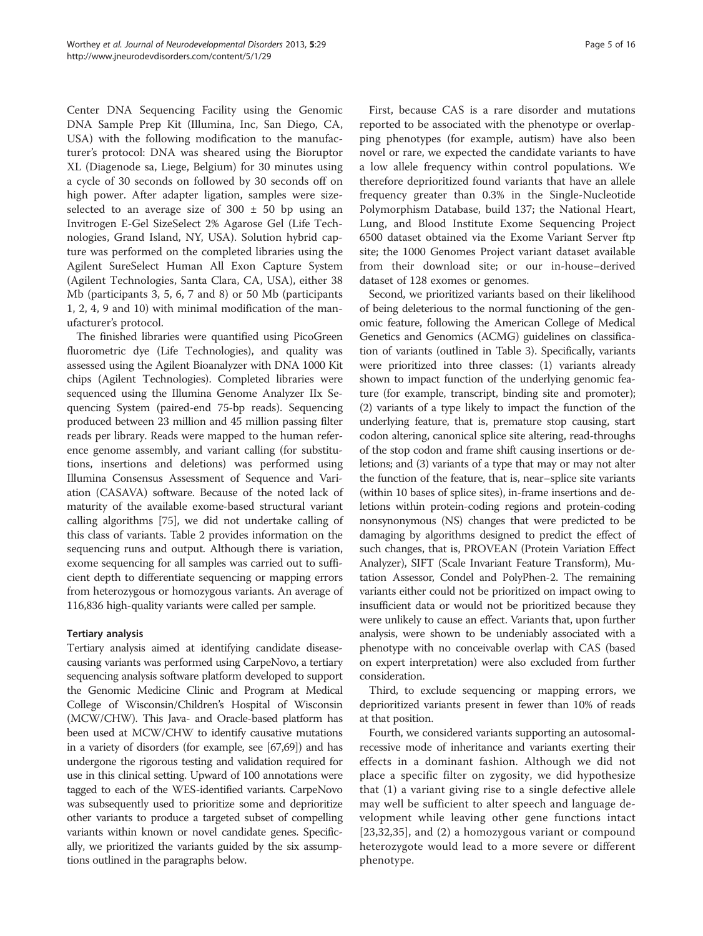Center DNA Sequencing Facility using the Genomic DNA Sample Prep Kit (Illumina, Inc, San Diego, CA, USA) with the following modification to the manufacturer's protocol: DNA was sheared using the Bioruptor XL (Diagenode sa, Liege, Belgium) for 30 minutes using a cycle of 30 seconds on followed by 30 seconds off on high power. After adapter ligation, samples were sizeselected to an average size of  $300 \pm 50$  bp using an Invitrogen E-Gel SizeSelect 2% Agarose Gel (Life Technologies, Grand Island, NY, USA). Solution hybrid capture was performed on the completed libraries using the Agilent SureSelect Human All Exon Capture System (Agilent Technologies, Santa Clara, CA, USA), either 38 Mb (participants 3, 5, 6, 7 and 8) or 50 Mb (participants 1, 2, 4, 9 and 10) with minimal modification of the manufacturer's protocol.

The finished libraries were quantified using PicoGreen fluorometric dye (Life Technologies), and quality was assessed using the Agilent Bioanalyzer with DNA 1000 Kit chips (Agilent Technologies). Completed libraries were sequenced using the Illumina Genome Analyzer IIx Sequencing System (paired-end 75-bp reads). Sequencing produced between 23 million and 45 million passing filter reads per library. Reads were mapped to the human reference genome assembly, and variant calling (for substitutions, insertions and deletions) was performed using Illumina Consensus Assessment of Sequence and Variation (CASAVA) software. Because of the noted lack of maturity of the available exome-based structural variant calling algorithms [\[75\]](#page-14-0), we did not undertake calling of this class of variants. Table [2](#page-5-0) provides information on the sequencing runs and output. Although there is variation, exome sequencing for all samples was carried out to sufficient depth to differentiate sequencing or mapping errors from heterozygous or homozygous variants. An average of 116,836 high-quality variants were called per sample.

## Tertiary analysis

Tertiary analysis aimed at identifying candidate diseasecausing variants was performed using CarpeNovo, a tertiary sequencing analysis software platform developed to support the Genomic Medicine Clinic and Program at Medical College of Wisconsin/Children's Hospital of Wisconsin (MCW/CHW). This Java- and Oracle-based platform has been used at MCW/CHW to identify causative mutations in a variety of disorders (for example, see [\[67,69\]](#page-13-0)) and has undergone the rigorous testing and validation required for use in this clinical setting. Upward of 100 annotations were tagged to each of the WES-identified variants. CarpeNovo was subsequently used to prioritize some and deprioritize other variants to produce a targeted subset of compelling variants within known or novel candidate genes. Specifically, we prioritized the variants guided by the six assumptions outlined in the paragraphs below.

First, because CAS is a rare disorder and mutations reported to be associated with the phenotype or overlapping phenotypes (for example, autism) have also been novel or rare, we expected the candidate variants to have a low allele frequency within control populations. We therefore deprioritized found variants that have an allele frequency greater than 0.3% in the Single-Nucleotide Polymorphism Database, build 137; the National Heart, Lung, and Blood Institute Exome Sequencing Project 6500 dataset obtained via the Exome Variant Server ftp site; the 1000 Genomes Project variant dataset available from their download site; or our in-house–derived dataset of 128 exomes or genomes.

Second, we prioritized variants based on their likelihood of being deleterious to the normal functioning of the genomic feature, following the American College of Medical Genetics and Genomics (ACMG) guidelines on classification of variants (outlined in Table [3\)](#page-5-0). Specifically, variants were prioritized into three classes: (1) variants already shown to impact function of the underlying genomic feature (for example, transcript, binding site and promoter); (2) variants of a type likely to impact the function of the underlying feature, that is, premature stop causing, start codon altering, canonical splice site altering, read-throughs of the stop codon and frame shift causing insertions or deletions; and (3) variants of a type that may or may not alter the function of the feature, that is, near–splice site variants (within 10 bases of splice sites), in-frame insertions and deletions within protein-coding regions and protein-coding nonsynonymous (NS) changes that were predicted to be damaging by algorithms designed to predict the effect of such changes, that is, PROVEAN (Protein Variation Effect Analyzer), SIFT (Scale Invariant Feature Transform), Mutation Assessor, Condel and PolyPhen-2. The remaining variants either could not be prioritized on impact owing to insufficient data or would not be prioritized because they were unlikely to cause an effect. Variants that, upon further analysis, were shown to be undeniably associated with a phenotype with no conceivable overlap with CAS (based on expert interpretation) were also excluded from further consideration.

Third, to exclude sequencing or mapping errors, we deprioritized variants present in fewer than 10% of reads at that position.

Fourth, we considered variants supporting an autosomalrecessive mode of inheritance and variants exerting their effects in a dominant fashion. Although we did not place a specific filter on zygosity, we did hypothesize that (1) a variant giving rise to a single defective allele may well be sufficient to alter speech and language development while leaving other gene functions intact [[23](#page-12-0)[,32,35\]](#page-13-0), and (2) a homozygous variant or compound heterozygote would lead to a more severe or different phenotype.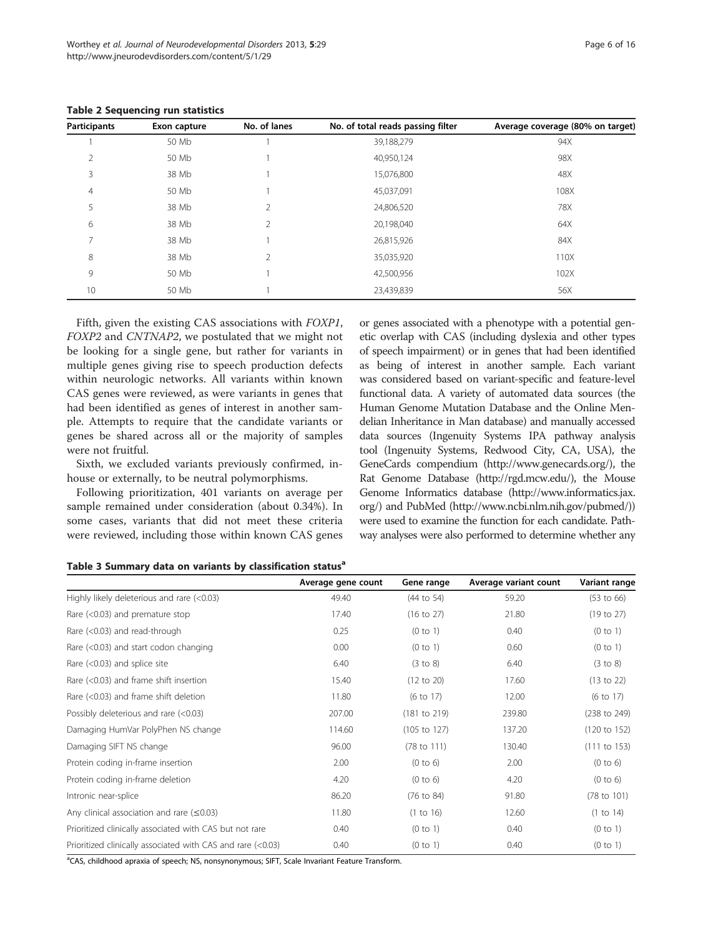| <b>Participants</b> | Exon capture | No. of lanes   | No. of total reads passing filter | Average coverage (80% on target) |
|---------------------|--------------|----------------|-----------------------------------|----------------------------------|
|                     | 50 Mb        |                | 39,188,279                        | 94X                              |
| 2                   | 50 Mb        |                | 40,950,124                        | 98X                              |
| 3                   | 38 Mb        |                | 15,076,800                        | 48X                              |
| 4                   | 50 Mb        |                | 45,037,091                        | 108X                             |
| 5                   | 38 Mb        | 2              | 24,806,520                        | 78X                              |
| 6                   | 38 Mb        | 2              | 20,198,040                        | 64X                              |
| $\overline{ }$      | 38 Mb        |                | 26,815,926                        | 84X                              |
| 8                   | 38 Mb        | $\overline{2}$ | 35,035,920                        | 110X                             |
| 9                   | 50 Mb        |                | 42,500,956                        | 102X                             |
| 10                  | 50 Mb        |                | 23,439,839                        | 56X                              |

<span id="page-5-0"></span>Table 2 Sequencing run statistics

Fifth, given the existing CAS associations with FOXP1, FOXP2 and CNTNAP2, we postulated that we might not be looking for a single gene, but rather for variants in multiple genes giving rise to speech production defects within neurologic networks. All variants within known CAS genes were reviewed, as were variants in genes that had been identified as genes of interest in another sample. Attempts to require that the candidate variants or genes be shared across all or the majority of samples were not fruitful.

Sixth, we excluded variants previously confirmed, inhouse or externally, to be neutral polymorphisms.

Following prioritization, 401 variants on average per sample remained under consideration (about 0.34%). In some cases, variants that did not meet these criteria were reviewed, including those within known CAS genes or genes associated with a phenotype with a potential genetic overlap with CAS (including dyslexia and other types of speech impairment) or in genes that had been identified as being of interest in another sample. Each variant was considered based on variant-specific and feature-level functional data. A variety of automated data sources (the Human Genome Mutation Database and the Online Mendelian Inheritance in Man database) and manually accessed data sources (Ingenuity Systems IPA pathway analysis tool (Ingenuity Systems, Redwood City, CA, USA), the GeneCards compendium (<http://www.genecards.org/>), the Rat Genome Database [\(http://rgd.mcw.edu/](http://rgd.mcw.edu/)), the Mouse Genome Informatics database [\(http://www.informatics.jax.](http://www.informatics.jax.org/) [org/\)](http://www.informatics.jax.org/) and PubMed (<http://www.ncbi.nlm.nih.gov/pubmed/>)) were used to examine the function for each candidate. Pathway analyses were also performed to determine whether any

Table 3 Summary data on variants by classification status<sup>a</sup>

|                                                             | Average gene count | Gene range              | Average variant count | Variant range           |
|-------------------------------------------------------------|--------------------|-------------------------|-----------------------|-------------------------|
| Highly likely deleterious and rare (<0.03)                  | 49.40              | (44 to 54)              | 59.20                 | $(53 \text{ to } 66)$   |
| Rare $(<0.03$ ) and premature stop                          | 17.40              | $(16 \text{ to } 27)$   | 21.80                 | (19 to 27)              |
| Rare (<0.03) and read-through                               | 0.25               | (0 to 1)                | 0.40                  | (0 to 1)                |
| Rare (<0.03) and start codon changing                       | 0.00               | (0 to 1)                | 0.60                  | (0 to 1)                |
| Rare $(<0.03$ ) and splice site                             | 6.40               | (3 to 8)                | 6.40                  | (3 to 8)                |
| Rare (<0.03) and frame shift insertion                      | 15.40              | (12 to 20)              | 17.60                 | (13 to 22)              |
| Rare (<0.03) and frame shift deletion                       | 11.80              | $(6 \text{ to } 17)$    | 12.00                 | (6 to 17)               |
| Possibly deleterious and rare (<0.03)                       | 207.00             | (181 to 219)            | 239.80                | (238 to 249)            |
| Damaging HumVar PolyPhen NS change                          | 114.60             | $(105 \text{ to } 127)$ | 137.20                | $(120 \text{ to } 152)$ |
| Damaging SIFT NS change                                     | 96.00              | $(78 \text{ to } 111)$  | 130.40                | $(111$ to $153)$        |
| Protein coding in-frame insertion                           | 2.00               | (0 to 6)                | 2.00                  | (0 to 6)                |
| Protein coding in-frame deletion                            | 4.20               | (0 to 6)                | 4.20                  | (0 to 6)                |
| Intronic near-splice                                        | 86.20              | $(76 \text{ to } 84)$   | 91.80                 | (78 to 101)             |
| Any clinical association and rare $(\leq 0.03)$             | 11.80              | (1 to 16)               | 12.60                 | (1 to 14)               |
| Prioritized clinically associated with CAS but not rare     | 0.40               | (0 to 1)                | 0.40                  | (0 to 1)                |
| Prioritized clinically associated with CAS and rare (<0.03) | 0.40               | (0 to 1)                | 0.40                  | (0 to 1)                |

<sup>a</sup>CAS, childhood apraxia of speech; NS, nonsynonymous; SIFT, Scale Invariant Feature Transform.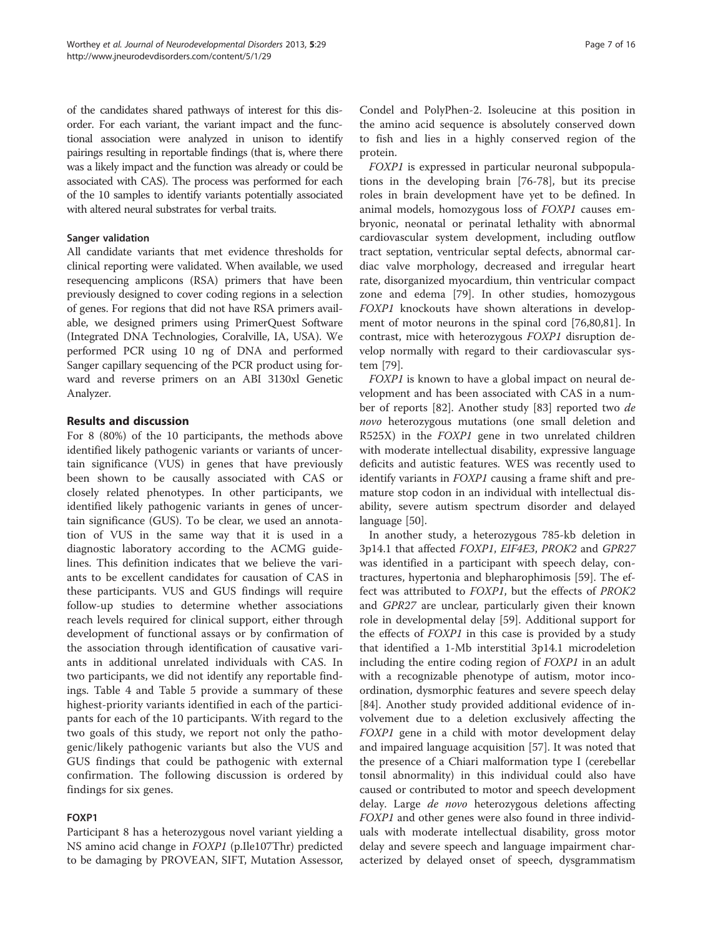of the candidates shared pathways of interest for this disorder. For each variant, the variant impact and the functional association were analyzed in unison to identify pairings resulting in reportable findings (that is, where there was a likely impact and the function was already or could be associated with CAS). The process was performed for each of the 10 samples to identify variants potentially associated with altered neural substrates for verbal traits.

## Sanger validation

All candidate variants that met evidence thresholds for clinical reporting were validated. When available, we used resequencing amplicons (RSA) primers that have been previously designed to cover coding regions in a selection of genes. For regions that did not have RSA primers available, we designed primers using PrimerQuest Software (Integrated DNA Technologies, Coralville, IA, USA). We performed PCR using 10 ng of DNA and performed Sanger capillary sequencing of the PCR product using forward and reverse primers on an ABI 3130xl Genetic Analyzer.

## Results and discussion

For 8 (80%) of the 10 participants, the methods above identified likely pathogenic variants or variants of uncertain significance (VUS) in genes that have previously been shown to be causally associated with CAS or closely related phenotypes. In other participants, we identified likely pathogenic variants in genes of uncertain significance (GUS). To be clear, we used an annotation of VUS in the same way that it is used in a diagnostic laboratory according to the ACMG guidelines. This definition indicates that we believe the variants to be excellent candidates for causation of CAS in these participants. VUS and GUS findings will require follow-up studies to determine whether associations reach levels required for clinical support, either through development of functional assays or by confirmation of the association through identification of causative variants in additional unrelated individuals with CAS. In two participants, we did not identify any reportable findings. Table [4](#page-7-0) and Table [5](#page-8-0) provide a summary of these highest-priority variants identified in each of the participants for each of the 10 participants. With regard to the two goals of this study, we report not only the pathogenic/likely pathogenic variants but also the VUS and GUS findings that could be pathogenic with external confirmation. The following discussion is ordered by findings for six genes.

## FOXP1

Participant 8 has a heterozygous novel variant yielding a NS amino acid change in FOXP1 (p.Ile107Thr) predicted to be damaging by PROVEAN, SIFT, Mutation Assessor, Condel and PolyPhen-2. Isoleucine at this position in the amino acid sequence is absolutely conserved down to fish and lies in a highly conserved region of the protein.

FOXP1 is expressed in particular neuronal subpopulations in the developing brain [[76-78\]](#page-14-0), but its precise roles in brain development have yet to be defined. In animal models, homozygous loss of FOXP1 causes embryonic, neonatal or perinatal lethality with abnormal cardiovascular system development, including outflow tract septation, ventricular septal defects, abnormal cardiac valve morphology, decreased and irregular heart rate, disorganized myocardium, thin ventricular compact zone and edema [[79\]](#page-14-0). In other studies, homozygous FOXP1 knockouts have shown alterations in development of motor neurons in the spinal cord [\[76,80,81](#page-14-0)]. In contrast, mice with heterozygous FOXP1 disruption develop normally with regard to their cardiovascular system [[79](#page-14-0)].

FOXP1 is known to have a global impact on neural development and has been associated with CAS in a number of reports [\[82](#page-14-0)]. Another study [[83\]](#page-14-0) reported two de novo heterozygous mutations (one small deletion and R525X) in the FOXP1 gene in two unrelated children with moderate intellectual disability, expressive language deficits and autistic features. WES was recently used to identify variants in FOXP1 causing a frame shift and premature stop codon in an individual with intellectual disability, severe autism spectrum disorder and delayed language [[50\]](#page-13-0).

In another study, a heterozygous 785-kb deletion in 3p14.1 that affected FOXP1, EIF4E3, PROK2 and GPR27 was identified in a participant with speech delay, contractures, hypertonia and blepharophimosis [\[59\]](#page-13-0). The effect was attributed to FOXP1, but the effects of PROK2 and GPR27 are unclear, particularly given their known role in developmental delay [\[59](#page-13-0)]. Additional support for the effects of FOXP1 in this case is provided by a study that identified a 1-Mb interstitial 3p14.1 microdeletion including the entire coding region of FOXP1 in an adult with a recognizable phenotype of autism, motor incoordination, dysmorphic features and severe speech delay [[84\]](#page-14-0). Another study provided additional evidence of involvement due to a deletion exclusively affecting the FOXP1 gene in a child with motor development delay and impaired language acquisition [[57\]](#page-13-0). It was noted that the presence of a Chiari malformation type I (cerebellar tonsil abnormality) in this individual could also have caused or contributed to motor and speech development delay. Large de novo heterozygous deletions affecting FOXP1 and other genes were also found in three individuals with moderate intellectual disability, gross motor delay and severe speech and language impairment characterized by delayed onset of speech, dysgrammatism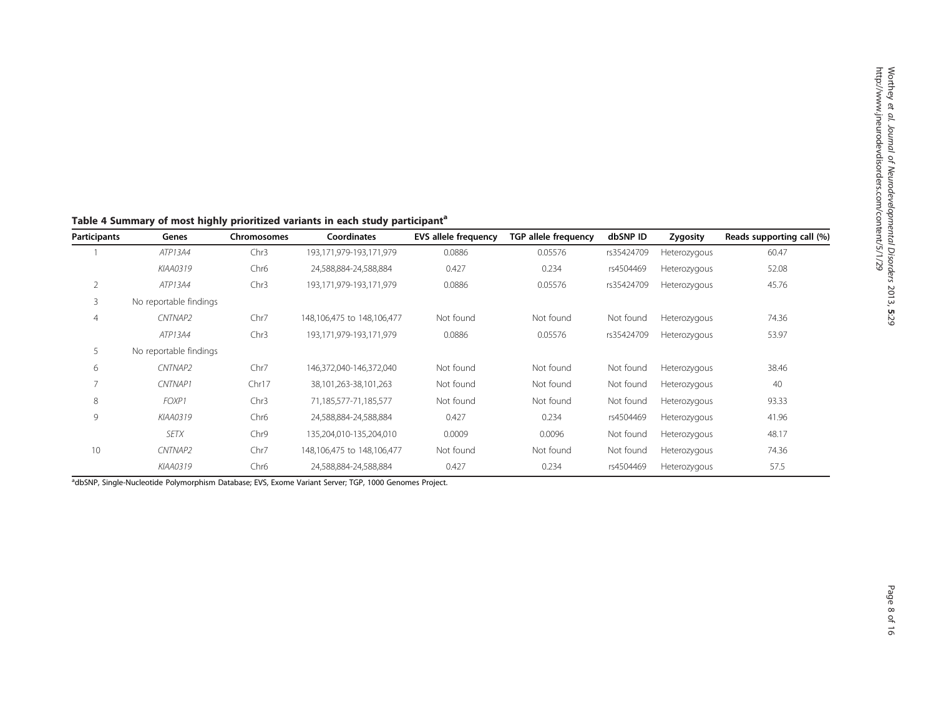| <b>Participants</b> | Genes                  | Chromosomes      | Coordinates                | <b>EVS allele frequency</b> | <b>TGP allele frequency</b> | dbSNP ID   | Zygosity     | Reads supporting call (%) |
|---------------------|------------------------|------------------|----------------------------|-----------------------------|-----------------------------|------------|--------------|---------------------------|
|                     | ATP13A4                | Chr3             | 193,171,979-193,171,979    | 0.0886                      | 0.05576                     | rs35424709 | Heterozygous | 60.47                     |
|                     | KIAA0319               | Chr <sub>6</sub> | 24,588,884-24,588,884      | 0.427                       | 0.234                       | rs4504469  | Heterozygous | 52.08                     |
| $\overline{2}$      | ATP13A4                | Chr <sub>3</sub> | 193,171,979-193,171,979    | 0.0886                      | 0.05576                     | rs35424709 | Heterozygous | 45.76                     |
| 3                   | No reportable findings |                  |                            |                             |                             |            |              |                           |
| 4                   | CNTNAP2                | Chr7             | 148,106,475 to 148,106,477 | Not found                   | Not found                   | Not found  | Heterozygous | 74.36                     |
|                     | ATP13A4                | Chr <sub>3</sub> | 193,171,979-193,171,979    | 0.0886                      | 0.05576                     | rs35424709 | Heterozygous | 53.97                     |
| 5                   | No reportable findings |                  |                            |                             |                             |            |              |                           |
| 6                   | CNTNAP2                | Chr7             | 146,372,040-146,372,040    | Not found                   | Not found                   | Not found  | Heterozygous | 38.46                     |
| 7                   | CNTNAP1                | Chr17            | 38,101,263-38,101,263      | Not found                   | Not found                   | Not found  | Heterozygous | 40                        |
| 8                   | FOXP1                  | Chr <sub>3</sub> | 71,185,577-71,185,577      | Not found                   | Not found                   | Not found  | Heterozygous | 93.33                     |
| 9                   | KIAA0319               | Chr <sub>6</sub> | 24,588,884-24,588,884      | 0.427                       | 0.234                       | rs4504469  | Heterozygous | 41.96                     |
|                     | <b>SETX</b>            | Chr9             | 135,204,010-135,204,010    | 0.0009                      | 0.0096                      | Not found  | Heterozygous | 48.17                     |
| 10                  | CNTNAP2                | Chr7             | 148,106,475 to 148,106,477 | Not found                   | Not found                   | Not found  | Heterozygous | 74.36                     |
|                     | KIAA0319               | Chr <sub>6</sub> | 24,588,884-24,588,884      | 0.427                       | 0.234                       | rs4504469  | Heterozygous | 57.5                      |

<span id="page-7-0"></span>Table 4 Summary of most highly prioritized variants in each study participant<sup>a</sup>

adbSNP, Single-Nucleotide Polymorphism Database; EVS, Exome Variant Server; TGP, 1000 Genomes Project.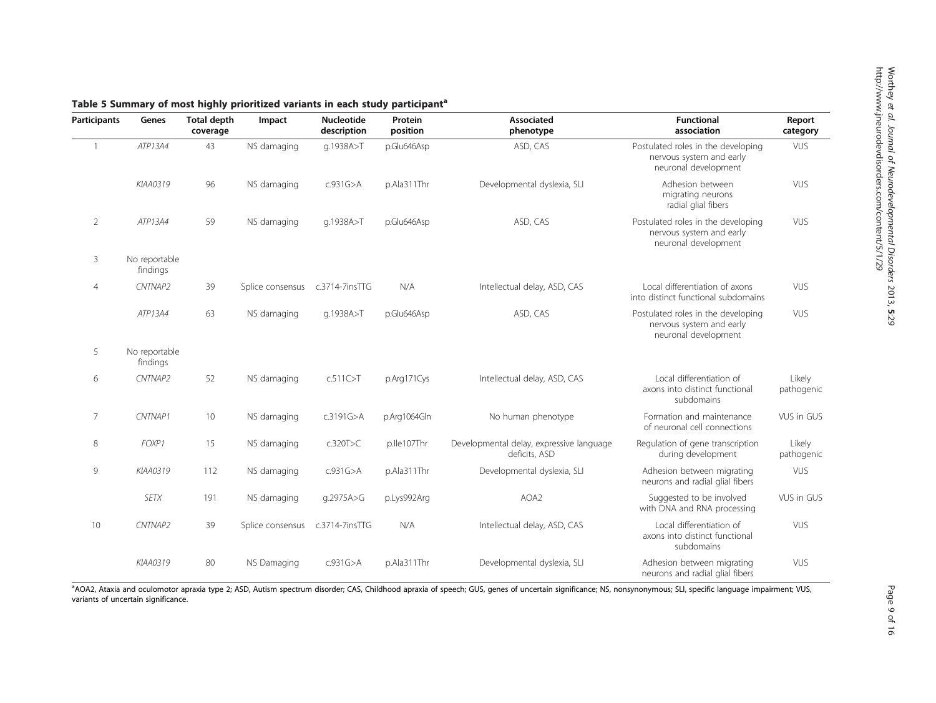| <b>Participants</b> | Genes                     | -<br>. .<br><b>Total depth</b><br>coverage | Impact           | <b>Nucleotide</b><br>description | Protein<br>position | <b>Associated</b><br>phenotype                            | <b>Functional</b><br>association                                                       | Report<br>category   |
|---------------------|---------------------------|--------------------------------------------|------------------|----------------------------------|---------------------|-----------------------------------------------------------|----------------------------------------------------------------------------------------|----------------------|
| $\mathbf{1}$        | ATP13A4                   | 43                                         | NS damaging      | q.1938A>T                        | p.Glu646Asp         | ASD, CAS                                                  | Postulated roles in the developing<br>nervous system and early<br>neuronal development | <b>VUS</b>           |
|                     | KIAA0319                  | 96                                         | NS damaging      | c.931G > A                       | p.Ala311Thr         | Developmental dyslexia, SLI                               | Adhesion between<br>migrating neurons<br>radial glial fibers                           | <b>VUS</b>           |
| $\overline{2}$      | ATP13A4                   | 59                                         | NS damaging      | q.1938A>T                        | p.Glu646Asp         | ASD, CAS                                                  | Postulated roles in the developing<br>nervous system and early<br>neuronal development | <b>VUS</b>           |
| 3                   | No reportable<br>findings |                                            |                  |                                  |                     |                                                           |                                                                                        |                      |
| $\overline{4}$      | CNTNAP2                   | 39                                         | Splice consensus | c.3714-7insTTG                   | N/A                 | Intellectual delay, ASD, CAS                              | Local differentiation of axons<br>into distinct functional subdomains                  | <b>VUS</b>           |
|                     | ATP13A4                   | 63                                         | NS damaging      | q.1938A>T                        | p.Glu646Asp         | ASD, CAS                                                  | Postulated roles in the developing<br>nervous system and early<br>neuronal development | VUS                  |
| 5                   | No reportable<br>findings |                                            |                  |                                  |                     |                                                           |                                                                                        |                      |
| 6                   | CNTNAP2                   | 52                                         | NS damaging      | c.511C > T                       | p.Arg171Cys         | Intellectual delay, ASD, CAS                              | Local differentiation of<br>axons into distinct functional<br>subdomains               | Likely<br>pathogenic |
| 7                   | CNTNAP1                   | 10                                         | NS damaging      | c.3191G>A                        | p.Arg1064Gln        | No human phenotype                                        | Formation and maintenance<br>of neuronal cell connections                              | VUS in GUS           |
| 8                   | FOXP1                     | 15                                         | NS damaging      | c.320T>C                         | p.lle107Thr         | Developmental delay, expressive language<br>deficits, ASD | Regulation of gene transcription<br>during development                                 | Likely<br>pathogenic |
| 9                   | KIAA0319                  | 112                                        | NS damaging      | c.931G > A                       | p.Ala311Thr         | Developmental dyslexia, SLI                               | Adhesion between migrating<br>neurons and radial glial fibers                          | <b>VUS</b>           |
|                     | <b>SETX</b>               | 191                                        | NS damaging      | q.2975A>G                        | p.Lys992Arg         | AOA2                                                      | Suggested to be involved<br>with DNA and RNA processing                                | VUS in GUS           |
| 10                  | CNTNAP2                   | 39                                         | Splice consensus | c.3714-7insTTG                   | N/A                 | Intellectual delay, ASD, CAS                              | Local differentiation of<br>axons into distinct functional<br>subdomains               | VUS                  |
|                     | KIAA0319                  | 80                                         | NS Damaging      | c.931G > A                       | p.Ala311Thr         | Developmental dyslexia, SLI                               | Adhesion between migrating<br>neurons and radial glial fibers                          | <b>VUS</b>           |

<span id="page-8-0"></span>Table 5 Summary of most highly prioritized variants in each study participant<sup>a</sup>

aAOA2, Ataxia and oculomotor apraxia type 2; ASD, Autism spectrum disorder; CAS, Childhood apraxia of speech; GUS, genes of uncertain significance; NS, nonsynonymous; SLI, specific language impairment; VUS, variants of uncertain significance.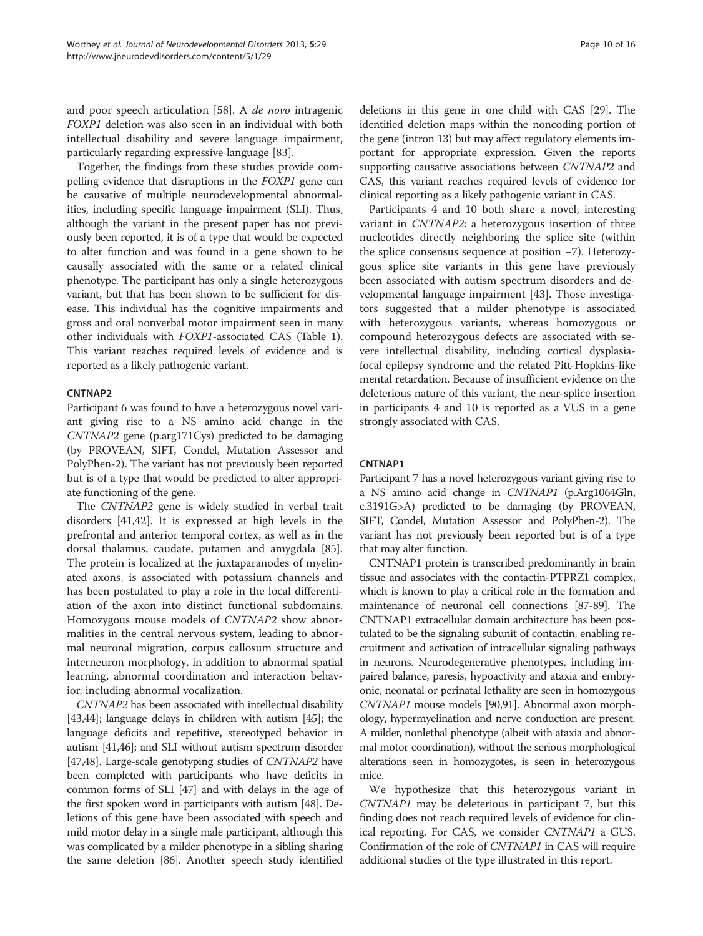and poor speech articulation [[58\]](#page-13-0). A de novo intragenic FOXP1 deletion was also seen in an individual with both intellectual disability and severe language impairment, particularly regarding expressive language [\[83\]](#page-14-0).

Together, the findings from these studies provide compelling evidence that disruptions in the FOXP1 gene can be causative of multiple neurodevelopmental abnormalities, including specific language impairment (SLI). Thus, although the variant in the present paper has not previously been reported, it is of a type that would be expected to alter function and was found in a gene shown to be causally associated with the same or a related clinical phenotype. The participant has only a single heterozygous variant, but that has been shown to be sufficient for disease. This individual has the cognitive impairments and gross and oral nonverbal motor impairment seen in many other individuals with FOXP1-associated CAS (Table [1](#page-3-0)). This variant reaches required levels of evidence and is reported as a likely pathogenic variant.

## CNTNAP2

Participant 6 was found to have a heterozygous novel variant giving rise to a NS amino acid change in the CNTNAP2 gene (p.arg171Cys) predicted to be damaging (by PROVEAN, SIFT, Condel, Mutation Assessor and PolyPhen-2). The variant has not previously been reported but is of a type that would be predicted to alter appropriate functioning of the gene.

The CNTNAP2 gene is widely studied in verbal trait disorders [\[41,42](#page-13-0)]. It is expressed at high levels in the prefrontal and anterior temporal cortex, as well as in the dorsal thalamus, caudate, putamen and amygdala [\[85](#page-14-0)]. The protein is localized at the juxtaparanodes of myelinated axons, is associated with potassium channels and has been postulated to play a role in the local differentiation of the axon into distinct functional subdomains. Homozygous mouse models of CNTNAP2 show abnormalities in the central nervous system, leading to abnormal neuronal migration, corpus callosum structure and interneuron morphology, in addition to abnormal spatial learning, abnormal coordination and interaction behavior, including abnormal vocalization.

CNTNAP2 has been associated with intellectual disability [[43,44\]](#page-13-0); language delays in children with autism [\[45\]](#page-13-0); the language deficits and repetitive, stereotyped behavior in autism [[41,46\]](#page-13-0); and SLI without autism spectrum disorder [[47,48\]](#page-13-0). Large-scale genotyping studies of CNTNAP2 have been completed with participants who have deficits in common forms of SLI [\[47\]](#page-13-0) and with delays in the age of the first spoken word in participants with autism [\[48\]](#page-13-0). Deletions of this gene have been associated with speech and mild motor delay in a single male participant, although this was complicated by a milder phenotype in a sibling sharing the same deletion [[86](#page-14-0)]. Another speech study identified deletions in this gene in one child with CAS [\[29\]](#page-12-0). The identified deletion maps within the noncoding portion of the gene (intron 13) but may affect regulatory elements important for appropriate expression. Given the reports supporting causative associations between CNTNAP2 and CAS, this variant reaches required levels of evidence for clinical reporting as a likely pathogenic variant in CAS.

Participants 4 and 10 both share a novel, interesting variant in CNTNAP2: a heterozygous insertion of three nucleotides directly neighboring the splice site (within the splice consensus sequence at position −7). Heterozygous splice site variants in this gene have previously been associated with autism spectrum disorders and developmental language impairment [\[43\]](#page-13-0). Those investigators suggested that a milder phenotype is associated with heterozygous variants, whereas homozygous or compound heterozygous defects are associated with severe intellectual disability, including cortical dysplasiafocal epilepsy syndrome and the related Pitt-Hopkins-like mental retardation. Because of insufficient evidence on the deleterious nature of this variant, the near-splice insertion in participants 4 and 10 is reported as a VUS in a gene strongly associated with CAS.

## CNTNAP1

Participant 7 has a novel heterozygous variant giving rise to a NS amino acid change in CNTNAP1 (p.Arg1064Gln, c.3191G>A) predicted to be damaging (by PROVEAN, SIFT, Condel, Mutation Assessor and PolyPhen-2). The variant has not previously been reported but is of a type that may alter function.

CNTNAP1 protein is transcribed predominantly in brain tissue and associates with the contactin-PTPRZ1 complex, which is known to play a critical role in the formation and maintenance of neuronal cell connections [[87](#page-14-0)-[89\]](#page-14-0). The CNTNAP1 extracellular domain architecture has been postulated to be the signaling subunit of contactin, enabling recruitment and activation of intracellular signaling pathways in neurons. Neurodegenerative phenotypes, including impaired balance, paresis, hypoactivity and ataxia and embryonic, neonatal or perinatal lethality are seen in homozygous CNTNAP1 mouse models [\[90,91](#page-14-0)]. Abnormal axon morphology, hypermyelination and nerve conduction are present. A milder, nonlethal phenotype (albeit with ataxia and abnormal motor coordination), without the serious morphological alterations seen in homozygotes, is seen in heterozygous mice.

We hypothesize that this heterozygous variant in CNTNAP1 may be deleterious in participant 7, but this finding does not reach required levels of evidence for clinical reporting. For CAS, we consider CNTNAP1 a GUS. Confirmation of the role of CNTNAP1 in CAS will require additional studies of the type illustrated in this report.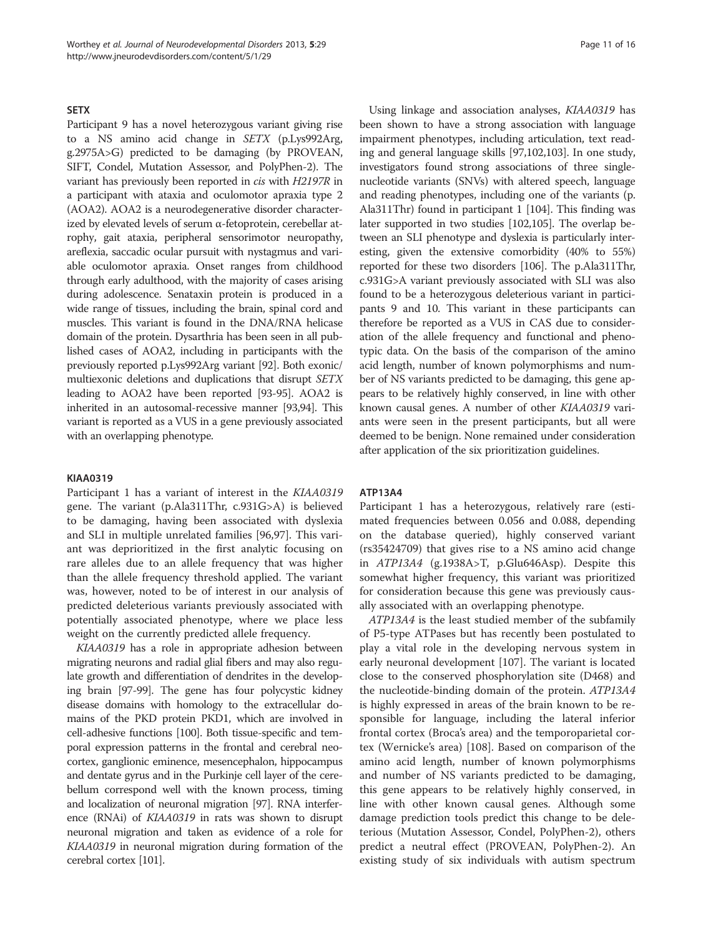#### **SETX**

Participant 9 has a novel heterozygous variant giving rise to a NS amino acid change in SETX (p.Lys992Arg, g.2975A>G) predicted to be damaging (by PROVEAN, SIFT, Condel, Mutation Assessor, and PolyPhen-2). The variant has previously been reported in cis with H2197R in a participant with ataxia and oculomotor apraxia type 2 (AOA2). AOA2 is a neurodegenerative disorder characterized by elevated levels of serum α-fetoprotein, cerebellar atrophy, gait ataxia, peripheral sensorimotor neuropathy, areflexia, saccadic ocular pursuit with nystagmus and variable oculomotor apraxia. Onset ranges from childhood through early adulthood, with the majority of cases arising during adolescence. Senataxin protein is produced in a wide range of tissues, including the brain, spinal cord and muscles. This variant is found in the DNA/RNA helicase domain of the protein. Dysarthria has been seen in all published cases of AOA2, including in participants with the previously reported p.Lys992Arg variant [\[92](#page-14-0)]. Both exonic/ multiexonic deletions and duplications that disrupt SETX leading to AOA2 have been reported [\[93-95\]](#page-14-0). AOA2 is inherited in an autosomal-recessive manner [[93,94\]](#page-14-0). This variant is reported as a VUS in a gene previously associated with an overlapping phenotype.

## KIAA0319

Participant 1 has a variant of interest in the KIAA0319 gene. The variant (p.Ala311Thr, c.931G>A) is believed to be damaging, having been associated with dyslexia and SLI in multiple unrelated families [\[96,97\]](#page-14-0). This variant was deprioritized in the first analytic focusing on rare alleles due to an allele frequency that was higher than the allele frequency threshold applied. The variant was, however, noted to be of interest in our analysis of predicted deleterious variants previously associated with potentially associated phenotype, where we place less weight on the currently predicted allele frequency.

KIAA0319 has a role in appropriate adhesion between migrating neurons and radial glial fibers and may also regulate growth and differentiation of dendrites in the developing brain [\[97-99](#page-14-0)]. The gene has four polycystic kidney disease domains with homology to the extracellular domains of the PKD protein PKD1, which are involved in cell-adhesive functions [\[100](#page-14-0)]. Both tissue-specific and temporal expression patterns in the frontal and cerebral neocortex, ganglionic eminence, mesencephalon, hippocampus and dentate gyrus and in the Purkinje cell layer of the cerebellum correspond well with the known process, timing and localization of neuronal migration [\[97](#page-14-0)]. RNA interference (RNAi) of KIAA0319 in rats was shown to disrupt neuronal migration and taken as evidence of a role for KIAA0319 in neuronal migration during formation of the cerebral cortex [\[101\]](#page-14-0).

Using linkage and association analyses, KIAA0319 has been shown to have a strong association with language impairment phenotypes, including articulation, text reading and general language skills [[97,102,103](#page-14-0)]. In one study, investigators found strong associations of three singlenucleotide variants (SNVs) with altered speech, language and reading phenotypes, including one of the variants (p. Ala311Thr) found in participant 1 [[104](#page-14-0)]. This finding was later supported in two studies [[102,105\]](#page-14-0). The overlap between an SLI phenotype and dyslexia is particularly interesting, given the extensive comorbidity (40% to 55%) reported for these two disorders [[106](#page-14-0)]. The p.Ala311Thr, c.931G>A variant previously associated with SLI was also found to be a heterozygous deleterious variant in participants 9 and 10. This variant in these participants can therefore be reported as a VUS in CAS due to consideration of the allele frequency and functional and phenotypic data. On the basis of the comparison of the amino acid length, number of known polymorphisms and number of NS variants predicted to be damaging, this gene appears to be relatively highly conserved, in line with other known causal genes. A number of other KIAA0319 variants were seen in the present participants, but all were deemed to be benign. None remained under consideration after application of the six prioritization guidelines.

#### ATP13A4

Participant 1 has a heterozygous, relatively rare (estimated frequencies between 0.056 and 0.088, depending on the database queried), highly conserved variant (rs35424709) that gives rise to a NS amino acid change in ATP13A4 (g.1938A>T, p.Glu646Asp). Despite this somewhat higher frequency, this variant was prioritized for consideration because this gene was previously causally associated with an overlapping phenotype.

ATP13A4 is the least studied member of the subfamily of P5-type ATPases but has recently been postulated to play a vital role in the developing nervous system in early neuronal development [[107\]](#page-14-0). The variant is located close to the conserved phosphorylation site (D468) and the nucleotide-binding domain of the protein. ATP13A4 is highly expressed in areas of the brain known to be responsible for language, including the lateral inferior frontal cortex (Broca's area) and the temporoparietal cortex (Wernicke's area) [\[108](#page-14-0)]. Based on comparison of the amino acid length, number of known polymorphisms and number of NS variants predicted to be damaging, this gene appears to be relatively highly conserved, in line with other known causal genes. Although some damage prediction tools predict this change to be deleterious (Mutation Assessor, Condel, PolyPhen-2), others predict a neutral effect (PROVEAN, PolyPhen-2). An existing study of six individuals with autism spectrum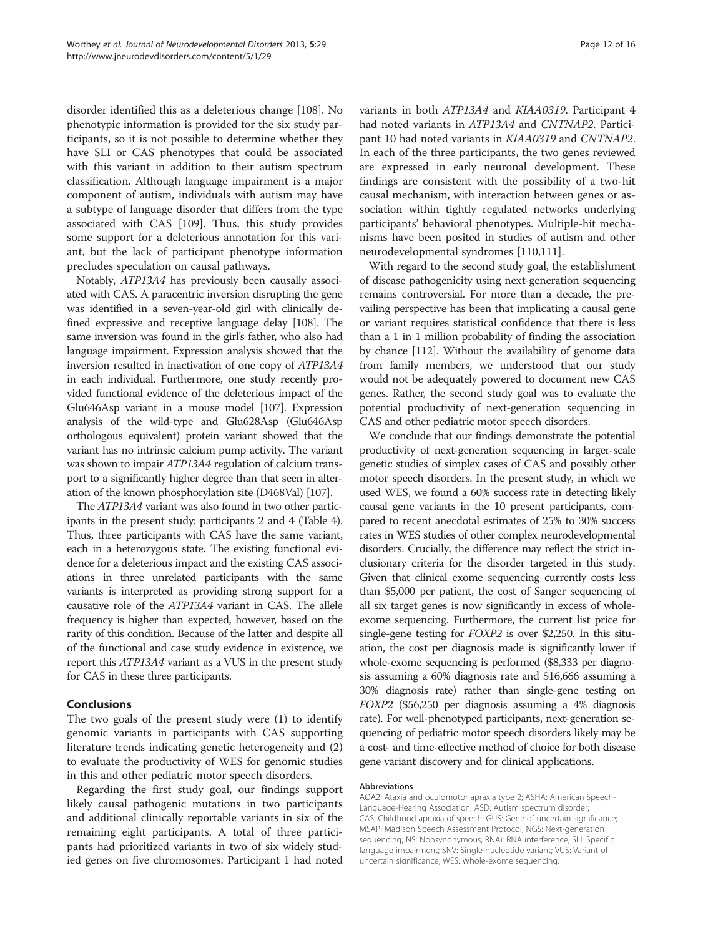disorder identified this as a deleterious change [[108](#page-14-0)]. No phenotypic information is provided for the six study participants, so it is not possible to determine whether they have SLI or CAS phenotypes that could be associated with this variant in addition to their autism spectrum classification. Although language impairment is a major component of autism, individuals with autism may have a subtype of language disorder that differs from the type associated with CAS [\[109](#page-15-0)]. Thus, this study provides some support for a deleterious annotation for this variant, but the lack of participant phenotype information precludes speculation on causal pathways.

Notably, ATP13A4 has previously been causally associated with CAS. A paracentric inversion disrupting the gene was identified in a seven-year-old girl with clinically defined expressive and receptive language delay [\[108](#page-14-0)]. The same inversion was found in the girl's father, who also had language impairment. Expression analysis showed that the inversion resulted in inactivation of one copy of ATP13A4 in each individual. Furthermore, one study recently provided functional evidence of the deleterious impact of the Glu646Asp variant in a mouse model [\[107\]](#page-14-0). Expression analysis of the wild-type and Glu628Asp (Glu646Asp orthologous equivalent) protein variant showed that the variant has no intrinsic calcium pump activity. The variant was shown to impair ATP13A4 regulation of calcium transport to a significantly higher degree than that seen in alteration of the known phosphorylation site (D468Val) [[107\]](#page-14-0).

The ATP13A4 variant was also found in two other participants in the present study: participants 2 and 4 (Table [4](#page-7-0)). Thus, three participants with CAS have the same variant, each in a heterozygous state. The existing functional evidence for a deleterious impact and the existing CAS associations in three unrelated participants with the same variants is interpreted as providing strong support for a causative role of the ATP13A4 variant in CAS. The allele frequency is higher than expected, however, based on the rarity of this condition. Because of the latter and despite all of the functional and case study evidence in existence, we report this ATP13A4 variant as a VUS in the present study for CAS in these three participants.

## Conclusions

The two goals of the present study were (1) to identify genomic variants in participants with CAS supporting literature trends indicating genetic heterogeneity and (2) to evaluate the productivity of WES for genomic studies in this and other pediatric motor speech disorders.

Regarding the first study goal, our findings support likely causal pathogenic mutations in two participants and additional clinically reportable variants in six of the remaining eight participants. A total of three participants had prioritized variants in two of six widely studied genes on five chromosomes. Participant 1 had noted variants in both ATP13A4 and KIAA0319. Participant 4 had noted variants in ATP13A4 and CNTNAP2. Participant 10 had noted variants in KIAA0319 and CNTNAP2. In each of the three participants, the two genes reviewed are expressed in early neuronal development. These findings are consistent with the possibility of a two-hit causal mechanism, with interaction between genes or association within tightly regulated networks underlying participants' behavioral phenotypes. Multiple-hit mechanisms have been posited in studies of autism and other neurodevelopmental syndromes [\[110,111\]](#page-15-0).

With regard to the second study goal, the establishment of disease pathogenicity using next-generation sequencing remains controversial. For more than a decade, the prevailing perspective has been that implicating a causal gene or variant requires statistical confidence that there is less than a 1 in 1 million probability of finding the association by chance [\[112\]](#page-15-0). Without the availability of genome data from family members, we understood that our study would not be adequately powered to document new CAS genes. Rather, the second study goal was to evaluate the potential productivity of next-generation sequencing in CAS and other pediatric motor speech disorders.

We conclude that our findings demonstrate the potential productivity of next-generation sequencing in larger-scale genetic studies of simplex cases of CAS and possibly other motor speech disorders. In the present study, in which we used WES, we found a 60% success rate in detecting likely causal gene variants in the 10 present participants, compared to recent anecdotal estimates of 25% to 30% success rates in WES studies of other complex neurodevelopmental disorders. Crucially, the difference may reflect the strict inclusionary criteria for the disorder targeted in this study. Given that clinical exome sequencing currently costs less than \$5,000 per patient, the cost of Sanger sequencing of all six target genes is now significantly in excess of wholeexome sequencing. Furthermore, the current list price for single-gene testing for FOXP2 is over \$2,250. In this situation, the cost per diagnosis made is significantly lower if whole-exome sequencing is performed (\$8,333 per diagnosis assuming a 60% diagnosis rate and \$16,666 assuming a 30% diagnosis rate) rather than single-gene testing on FOXP2 (\$56,250 per diagnosis assuming a 4% diagnosis rate). For well-phenotyped participants, next-generation sequencing of pediatric motor speech disorders likely may be a cost- and time-effective method of choice for both disease gene variant discovery and for clinical applications.

#### Abbreviations

AOA2: Ataxia and oculomotor apraxia type 2; ASHA: American Speech-Language-Hearing Association; ASD: Autism spectrum disorder; CAS: Childhood apraxia of speech; GUS: Gene of uncertain significance; MSAP: Madison Speech Assessment Protocol; NGS: Next-generation sequencing; NS: Nonsynonymous; RNAi: RNA interference; SLI: Specific language impairment; SNV: Single-nucleotide variant; VUS: Variant of uncertain significance; WES: Whole-exome sequencing.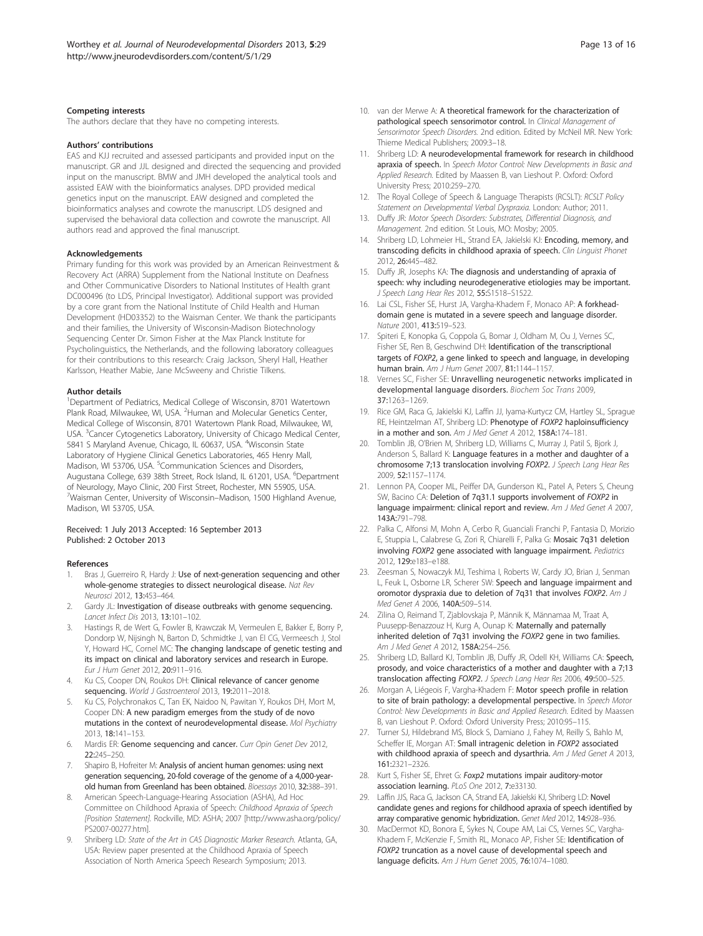#### <span id="page-12-0"></span>Competing interests

The authors declare that they have no competing interests.

#### Authors' contributions

EAS and KJJ recruited and assessed participants and provided input on the manuscript. GR and JJL designed and directed the sequencing and provided input on the manuscript. BMW and JMH developed the analytical tools and assisted EAW with the bioinformatics analyses. DPD provided medical genetics input on the manuscript. EAW designed and completed the bioinformatics analyses and cowrote the manuscript. LDS designed and supervised the behavioral data collection and cowrote the manuscript. All authors read and approved the final manuscript.

#### Acknowledgements

Primary funding for this work was provided by an American Reinvestment & Recovery Act (ARRA) Supplement from the National Institute on Deafness and Other Communicative Disorders to National Institutes of Health grant DC000496 (to LDS, Principal Investigator). Additional support was provided by a core grant from the National Institute of Child Health and Human Development (HD03352) to the Waisman Center. We thank the participants and their families, the University of Wisconsin-Madison Biotechnology Sequencing Center Dr. Simon Fisher at the Max Planck Institute for Psycholinguistics, the Netherlands, and the following laboratory colleagues for their contributions to this research: Craig Jackson, Sheryl Hall, Heather Karlsson, Heather Mabie, Jane McSweeny and Christie Tilkens.

#### Author details

<sup>1</sup>Department of Pediatrics, Medical College of Wisconsin, 8701 Watertown Plank Road, Milwaukee, WI, USA. <sup>2</sup> Human and Molecular Genetics Center, Medical College of Wisconsin, 8701 Watertown Plank Road, Milwaukee, WI, USA. <sup>3</sup>Cancer Cytogenetics Laboratory, University of Chicago Medical Center, 5841 S Maryland Avenue, Chicago, IL 60637, USA. <sup>4</sup>Wisconsin State Laboratory of Hygiene Clinical Genetics Laboratories, 465 Henry Mall, Madison, WI 53706, USA. <sup>5</sup>Communication Sciences and Disorders, Augustana College, 639 38th Street, Rock Island, IL 61201, USA. <sup>6</sup>Department of Neurology, Mayo Clinic, 200 First Street, Rochester, MN 55905, USA. 7 Waisman Center, University of Wisconsin–Madison, 1500 Highland Avenue, Madison, WI 53705, USA.

#### Received: 1 July 2013 Accepted: 16 September 2013 Published: 2 October 2013

#### References

- 1. Bras J, Guerreiro R, Hardy J: Use of next-generation sequencing and other whole-genome strategies to dissect neurological disease. Nat Rev Neurosci 2012, 13:453–464.
- 2. Gardy JL: Investigation of disease outbreaks with genome sequencing. Lancet Infect Dis 2013, 13:101–102.
- 3. Hastings R, de Wert G, Fowler B, Krawczak M, Vermeulen E, Bakker E, Borry P, Dondorp W, Nijsingh N, Barton D, Schmidtke J, van El CG, Vermeesch J, Stol Y, Howard HC, Cornel MC: The changing landscape of genetic testing and its impact on clinical and laboratory services and research in Europe. Eur J Hum Genet 2012, 20:911–916.
- Ku CS, Cooper DN, Roukos DH: Clinical relevance of cancer genome sequencing. World J Gastroenterol 2013, 19:2011-2018.
- 5. Ku CS, Polychronakos C, Tan EK, Naidoo N, Pawitan Y, Roukos DH, Mort M, Cooper DN: A new paradigm emerges from the study of de novo mutations in the context of neurodevelopmental disease. Mol Psychiatry 2013, 18:141–153.
- 6. Mardis ER: Genome sequencing and cancer. Curr Opin Genet Dev 2012, 22:245–250.
- 7. Shapiro B, Hofreiter M: Analysis of ancient human genomes: using next generation sequencing, 20-fold coverage of the genome of a 4,000-yearold human from Greenland has been obtained. Bioessays 2010, 32:388–391.
- 8. American Speech-Language-Hearing Association (ASHA), Ad Hoc Committee on Childhood Apraxia of Speech: Childhood Apraxia of Speech [Position Statement]. Rockville, MD: ASHA; 2007 [[http://www.asha.org/policy/](http://www.asha.org/policy/PS2007-00277.htm) [PS2007-00277.htm](http://www.asha.org/policy/PS2007-00277.htm)].
- 9. Shriberg LD: State of the Art in CAS Diagnostic Marker Research. Atlanta, GA, USA: Review paper presented at the Childhood Apraxia of Speech Association of North America Speech Research Symposium; 2013.
- 10. van der Merwe A: A theoretical framework for the characterization of pathological speech sensorimotor control. In Clinical Management of Sensorimotor Speech Disorders. 2nd edition. Edited by McNeil MR. New York: Thieme Medical Publishers; 2009:3–18.
- 11. Shriberg LD: A neurodevelopmental framework for research in childhood apraxia of speech. In Speech Motor Control: New Developments in Basic and Applied Research. Edited by Maassen B, van Lieshout P. Oxford: Oxford University Press; 2010:259–270.
- 12. The Royal College of Speech & Language Therapists (RCSLT): RCSLT Policy Statement on Developmental Verbal Dyspraxia. London: Author; 2011.
- 13. Duffy JR: Motor Speech Disorders: Substrates, Differential Diagnosis, and Management. 2nd edition. St Louis, MO: Mosby; 2005.
- 14. Shriberg LD, Lohmeier HL, Strand EA, Jakielski KJ: Encoding, memory, and transcoding deficits in childhood apraxia of speech. Clin Linguist Phonet 2012, 26:445–482.
- 15. Duffy JR, Josephs KA: The diagnosis and understanding of apraxia of speech: why including neurodegenerative etiologies may be important. J Speech Lang Hear Res 2012, 55:S1518-S1522.
- 16. Lai CSL, Fisher SE, Hurst JA, Vargha-Khadem F, Monaco AP: A forkheaddomain gene is mutated in a severe speech and language disorder. Nature 2001, 413:519–523.
- 17. Spiteri E, Konopka G, Coppola G, Bomar J, Oldham M, Ou J, Vernes SC, Fisher SE, Ren B, Geschwind DH: Identification of the transcriptional targets of FOXP2, a gene linked to speech and language, in developing human brain. Am J Hum Genet 2007, 81:1144–1157.
- 18. Vernes SC, Fisher SE: Unravelling neurogenetic networks implicated in developmental language disorders. Biochem Soc Trans 2009, 37:1263–1269.
- 19. Rice GM, Raca G, Jakielski KJ, Laffin JJ, Iyama-Kurtycz CM, Hartley SL, Sprague RE, Heintzelman AT, Shriberg LD: Phenotype of FOXP2 haploinsufficiency in a mother and son. Am J Med Genet A 2012, 158A:174–181.
- 20. Tomblin JB, O'Brien M, Shriberg LD, Williams C, Murray J, Patil S, Bjork J, Anderson S, Ballard K: Language features in a mother and daughter of a chromosome 7;13 translocation involving FOXP2. J Speech Lang Hear Res 2009, 52:1157–1174.
- 21. Lennon PA, Cooper ML, Peiffer DA, Gunderson KL, Patel A, Peters S, Cheung SW, Bacino CA: Deletion of 7q31.1 supports involvement of FOXP2 in language impairment: clinical report and review. Am J Med Genet A 2007, 143A:791–798.
- 22. Palka C, Alfonsi M, Mohn A, Cerbo R, Guanciali Franchi P, Fantasia D, Morizio E, Stuppia L, Calabrese G, Zori R, Chiarelli F, Palka G: Mosaic 7q31 deletion involving FOXP2 gene associated with language impairment. Pediatrics 2012, 129:e183–e188.
- 23. Zeesman S, Nowaczyk MJ, Teshima I, Roberts W, Cardy JO, Brian J, Senman L, Feuk L, Osborne LR, Scherer SW: Speech and language impairment and oromotor dyspraxia due to deletion of 7q31 that involves FOXP2. Am J Med Genet A 2006, 140A:509–514.
- 24. Zilina O, Reimand T, Zjablovskaja P, Männik K, Männamaa M, Traat A, Puusepp-Benazzouz H, Kurg A, Ounap K: Maternally and paternally inherited deletion of 7q31 involving the FOXP2 gene in two families. Am J Med Genet A 2012, 158A:254–256.
- 25. Shriberg LD, Ballard KJ, Tomblin JB, Duffy JR, Odell KH, Williams CA: Speech, prosody, and voice characteristics of a mother and daughter with a 7;13 translocation affecting FOXP2. J Speech Lang Hear Res 2006, 49:500–525.
- 26. Morgan A, Liégeois F, Vargha-Khadem F: Motor speech profile in relation to site of brain pathology: a developmental perspective. In Speech Motor Control: New Developments in Basic and Applied Research. Edited by Maassen B, van Lieshout P. Oxford: Oxford University Press; 2010:95–115.
- 27. Turner SJ, Hildebrand MS, Block S, Damiano J, Fahey M, Reilly S, Bahlo M, Scheffer IE, Morgan AT: Small intragenic deletion in FOXP2 associated with childhood apraxia of speech and dysarthria. Am J Med Genet A 2013, 161:2321–2326.
- 28. Kurt S, Fisher SE, Ehret G: Foxp2 mutations impair auditory-motor association learning. PLoS One 2012, 7:e33130.
- 29. Laffin JJS, Raca G, Jackson CA, Strand EA, Jakielski KJ, Shriberg LD: Novel candidate genes and regions for childhood apraxia of speech identified by array comparative genomic hybridization. Genet Med 2012, 14:928–936.
- 30. MacDermot KD, Bonora E, Sykes N, Coupe AM, Lai CS, Vernes SC, Vargha-Khadem F, McKenzie F, Smith RL, Monaco AP, Fisher SE: Identification of FOXP2 truncation as a novel cause of developmental speech and language deficits. Am J Hum Genet 2005, 76:1074–1080.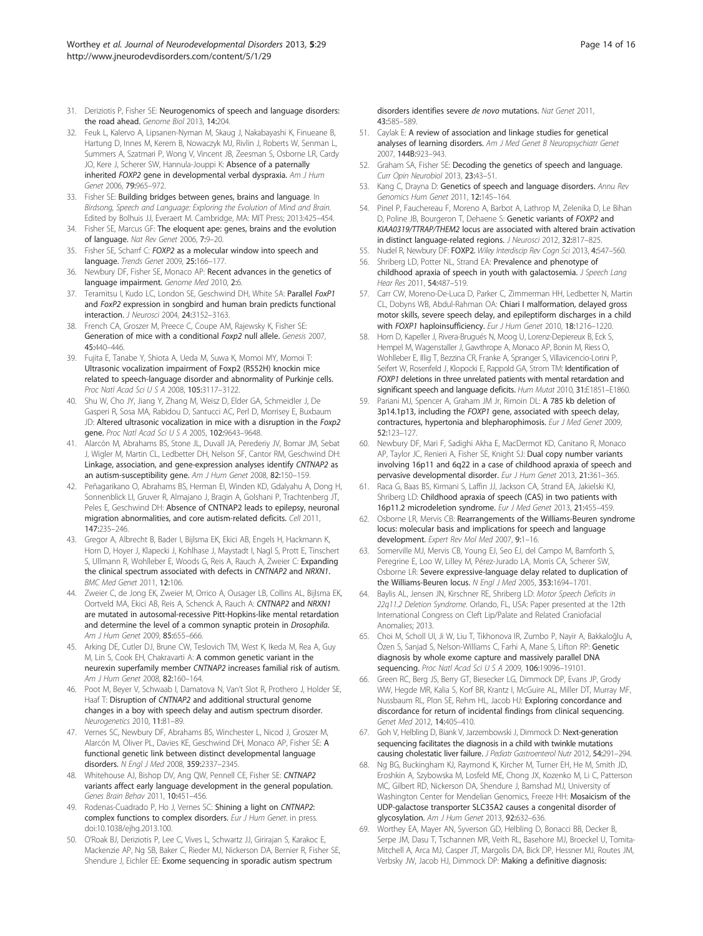- <span id="page-13-0"></span>31. Deriziotis P, Fisher SE: Neurogenomics of speech and language disorders: the road ahead. Genome Biol 2013, 14:204.
- 32. Feuk L, Kalervo A, Lipsanen-Nyman M, Skaug J, Nakabayashi K, Finueane B, Hartung D, Innes M, Kerem B, Nowaczyk MJ, Rivlin J, Roberts W, Senman L, Summers A, Szatmari P, Wong V, Vincent JB, Zeesman S, Osborne LR, Cardy JO, Kere J, Scherer SW, Hannula-Jouppi K: Absence of a paternally inherited FOXP2 gene in developmental verbal dyspraxia. Am J Hum Genet 2006, 79:965–972.
- 33. Fisher SE: Building bridges between genes, brains and language. In Birdsong, Speech and Language: Exploring the Evolution of Mind and Brain. Edited by Bolhuis JJ, Everaert M. Cambridge, MA: MIT Press; 2013:425–454.
- 34. Fisher SE, Marcus GF: The eloquent ape: genes, brains and the evolution of language. Nat Rev Genet 2006, 7:9–20.
- 35. Fisher SE, Scharrf C: FOXP2 as a molecular window into speech and language. Trends Genet 2009, 25:166–177.
- 36. Newbury DF, Fisher SE, Monaco AP: Recent advances in the genetics of language impairment. Genome Med 2010, 2:6.
- 37. Teramitsu I, Kudo LC, London SE, Geschwind DH, White SA: Parallel FoxP1 and FoxP2 expression in songbird and human brain predicts functional interaction. J Neurosci 2004, 24:3152–3163.
- 38. French CA, Groszer M, Preece C, Coupe AM, Rajewsky K, Fisher SE: Generation of mice with a conditional Foxp2 null allele. Genesis 2007, 45:440–446.
- 39. Fujita E, Tanabe Y, Shiota A, Ueda M, Suwa K, Momoi MY, Momoi T: Ultrasonic vocalization impairment of Foxp2 (R552H) knockin mice related to speech-language disorder and abnormality of Purkinje cells. Proc Natl Acad Sci U S A 2008, 105:3117–3122.
- 40. Shu W, Cho JY, Jiang Y, Zhang M, Weisz D, Elder GA, Schmeidler J, De Gasperi R, Sosa MA, Rabidou D, Santucci AC, Perl D, Morrisey E, Buxbaum JD: Altered ultrasonic vocalization in mice with a disruption in the Foxp2 gene. Proc Natl Acad Sci U S A 2005, 102:9643-9648.
- 41. Alarcón M, Abrahams BS, Stone JL, Duvall JA, Perederiy JV, Bomar JM, Sebat J, Wigler M, Martin CL, Ledbetter DH, Nelson SF, Cantor RM, Geschwind DH: Linkage, association, and gene-expression analyses identify CNTNAP2 as an autism-susceptibility gene. Am J Hum Genet 2008, 82:150-159.
- 42. Peñagarikano O, Abrahams BS, Herman EI, Winden KD, Gdalyahu A, Dong H, Sonnenblick LI, Gruver R, Almajano J, Bragin A, Golshani P, Trachtenberg JT, Peles E, Geschwind DH: Absence of CNTNAP2 leads to epilepsy, neuronal migration abnormalities, and core autism-related deficits. Cell 2011, 147:235–246.
- 43. Gregor A, Albrecht B, Bader I, Bijlsma EK, Ekici AB, Engels H, Hackmann K, Horn D, Hoyer J, Klapecki J, Kohlhase J, Maystadt I, Nagl S, Prott E, Tinschert S, Ullmann R, Wohlleber E, Woods G, Reis A, Rauch A, Zweier C: Expanding the clinical spectrum associated with defects in CNTNAP2 and NRXN1. BMC Med Genet 2011, 12:106.
- 44. Zweier C, de Jong EK, Zweier M, Orrico A, Ousager LB, Collins AL, Bijlsma EK, Oortveld MA, Ekici AB, Reis A, Schenck A, Rauch A: CNTNAP2 and NRXN1 are mutated in autosomal-recessive Pitt-Hopkins-like mental retardation and determine the level of a common synaptic protein in Drosophila. Am J Hum Genet 2009, 85:655-666.
- 45. Arking DE, Cutler DJ, Brune CW, Teslovich TM, West K, Ikeda M, Rea A, Guy M, Lin S, Cook EH, Chakravarti A: A common genetic variant in the neurexin superfamily member CNTNAP2 increases familial risk of autism. Am J Hum Genet 2008, 82:160–164.
- 46. Poot M, Beyer V, Schwaab I, Damatova N, Van't Slot R, Prothero J, Holder SE, Haaf T: Disruption of CNTNAP2 and additional structural genome changes in a boy with speech delay and autism spectrum disorder. Neurogenetics 2010, 11:81–89.
- 47. Vernes SC, Newbury DF, Abrahams BS, Winchester L, Nicod J, Groszer M, Alarcón M, Oliver PL, Davies KE, Geschwind DH, Monaco AP, Fisher SE: A functional genetic link between distinct developmental language disorders. N Engl J Med 2008, 359:2337–2345.
- 48. Whitehouse AJ, Bishop DV, Ang QW, Pennell CE, Fisher SE: CNTNAP2 variants affect early language development in the general population. Genes Brain Behav 2011, 10:451–456.
- 49. Rodenas-Cuadrado P, Ho J, Vernes SC: Shining a light on CNTNAP2: complex functions to complex disorders. Eur J Hum Genet. in press. doi:10.1038/ejhg.2013.100.
- 50. O'Roak BJ, Deriziotis P, Lee C, Vives L, Schwartz JJ, Girirajan S, Karakoc E, Mackenzie AP, Ng SB, Baker C, Rieder MJ, Nickerson DA, Bernier R, Fisher SE, Shendure J, Eichler EE: Exome sequencing in sporadic autism spectrum

disorders identifies severe de novo mutations. Nat Genet 2011, 43:585–589.

- 51. Caylak E: A review of association and linkage studies for genetical analyses of learning disorders. Am J Med Genet B Neuropsychiatr Genet 2007, 144B:923–943.
- 52. Graham SA, Fisher SE: Decoding the genetics of speech and language. Curr Opin Neurobiol 2013, 23:43–51.
- 53. Kang C, Drayna D: Genetics of speech and language disorders. Annu Rev Genomics Hum Genet 2011, 12:145–164.
- 54. Pinel P, Fauchereau F, Moreno A, Barbot A, Lathrop M, Zelenika D, Le Bihan D, Poline JB, Bourgeron T, Dehaene S: Genetic variants of FOXP2 and KIAA0319/TTRAP/THEM2 locus are associated with altered brain activation in distinct language-related regions. J Neurosci 2012, 32:817-825.
- 55. Nudel R, Newbury DF: FOXP2. Wiley Interdiscip Rev Cogn Sci 2013, 4:547-560.
- 56. Shriberg LD, Potter NL, Strand EA: Prevalence and phenotype of childhood apraxia of speech in youth with galactosemia. J Speech Lang Hear Res 2011, 54:487–519.
- 57. Carr CW, Moreno-De-Luca D, Parker C, Zimmerman HH, Ledbetter N, Martin CL, Dobyns WB, Abdul-Rahman OA: Chiari I malformation, delayed gross motor skills, severe speech delay, and epileptiform discharges in a child with FOXP1 haploinsufficiency. Eur J Hum Genet 2010, 18:1216-1220.
- Horn D, Kapeller J, Rivera-Brugués N, Moog U, Lorenz-Depiereux B, Eck S, Hempel M, Wagenstaller J, Gawthrope A, Monaco AP, Bonin M, Riess O, Wohlleber E, Illig T, Bezzina CR, Franke A, Spranger S, Villavicencio-Lorini P, Seifert W, Rosenfeld J, Klopocki E, Rappold GA, Strom TM: Identification of FOXP1 deletions in three unrelated patients with mental retardation and significant speech and language deficits. Hum Mutat 2010, 31:E1851-E1860.
- 59. Pariani MJ, Spencer A, Graham JM Jr, Rimoin DL: A 785 kb deletion of 3p14.1p13, including the FOXP1 gene, associated with speech delay, contractures, hypertonia and blepharophimosis. Eur J Med Genet 2009, 52:123–127.
- 60. Newbury DF, Mari F, Sadighi Akha E, MacDermot KD, Canitano R, Monaco AP, Taylor JC, Renieri A, Fisher SE, Knight SJ: Dual copy number variants involving 16p11 and 6q22 in a case of childhood apraxia of speech and pervasive developmental disorder. Eur J Hum Genet 2013, 21:361–365.
- 61. Raca G, Baas BS, Kirmani S, Laffin JJ, Jackson CA, Strand EA, Jakielski KJ, Shriberg LD: Childhood apraxia of speech (CAS) in two patients with 16p11.2 microdeletion syndrome. Eur J Med Genet 2013, 21:455–459.
- 62. Osborne LR, Mervis CB: Rearrangements of the Williams-Beuren syndrome locus: molecular basis and implications for speech and language development. Expert Rev Mol Med 2007, 9:1–16.
- 63. Somerville MJ, Mervis CB, Young EJ, Seo EJ, del Campo M, Bamforth S, Peregrine E, Loo W, Lilley M, Pérez-Jurado LA, Morris CA, Scherer SW, Osborne LR: Severe expressive-language delay related to duplication of the Williams-Beuren locus. N Engl J Med 2005, 353:1694–1701.
- 64. Baylis AL, Jensen JN, Kirschner RE, Shriberg LD: Motor Speech Deficits in 22q11.2 Deletion Syndrome. Orlando, FL, USA: Paper presented at the 12th International Congress on Cleft Lip/Palate and Related Craniofacial Anomalies; 2013.
- 65. Choi M, Scholl UI, Ji W, Liu T, Tikhonova IR, Zumbo P, Nayir A, Bakkaloğlu A, Özen S, Sanjad S, Nelson-Williams C, Farhi A, Mane S, Lifton RP: Genetic diagnosis by whole exome capture and massively parallel DNA sequencing. Proc Natl Acad Sci U S A 2009, 106:19096–19101.
- 66. Green RC, Berg JS, Berry GT, Biesecker LG, Dimmock DP, Evans JP, Grody WW, Hegde MR, Kalia S, Korf BR, Krantz I, McGuire AL, Miller DT, Murray MF, Nussbaum RL, Plon SE, Rehm HL, Jacob HJ: Exploring concordance and discordance for return of incidental findings from clinical sequencing. Genet Med 2012, 14:405–410.
- 67. Goh V, Helbling D, Biank V, Jarzembowski J, Dimmock D: Next-generation sequencing facilitates the diagnosis in a child with twinkle mutations causing cholestatic liver failure. J Pediatr Gastroenterol Nutr 2012, 54:291–294.
- 68. Ng BG, Buckingham KJ, Raymond K, Kircher M, Turner EH, He M, Smith JD, Eroshkin A, Szybowska M, Losfeld ME, Chong JX, Kozenko M, Li C, Patterson MC, Gilbert RD, Nickerson DA, Shendure J, Bamshad MJ, University of Washington Center for Mendelian Genomics, Freeze HH: Mosaicism of the UDP-galactose transporter SLC35A2 causes a congenital disorder of glycosylation. Am J Hum Genet 2013, 92:632–636.
- 69. Worthey EA, Mayer AN, Syverson GD, Helbling D, Bonacci BB, Decker B, Serpe JM, Dasu T, Tschannen MR, Veith RL, Basehore MJ, Broeckel U, Tomita-Mitchell A, Arca MJ, Casper JT, Margolis DA, Bick DP, Hessner MJ, Routes JM, Verbsky JW, Jacob HJ, Dimmock DP: Making a definitive diagnosis: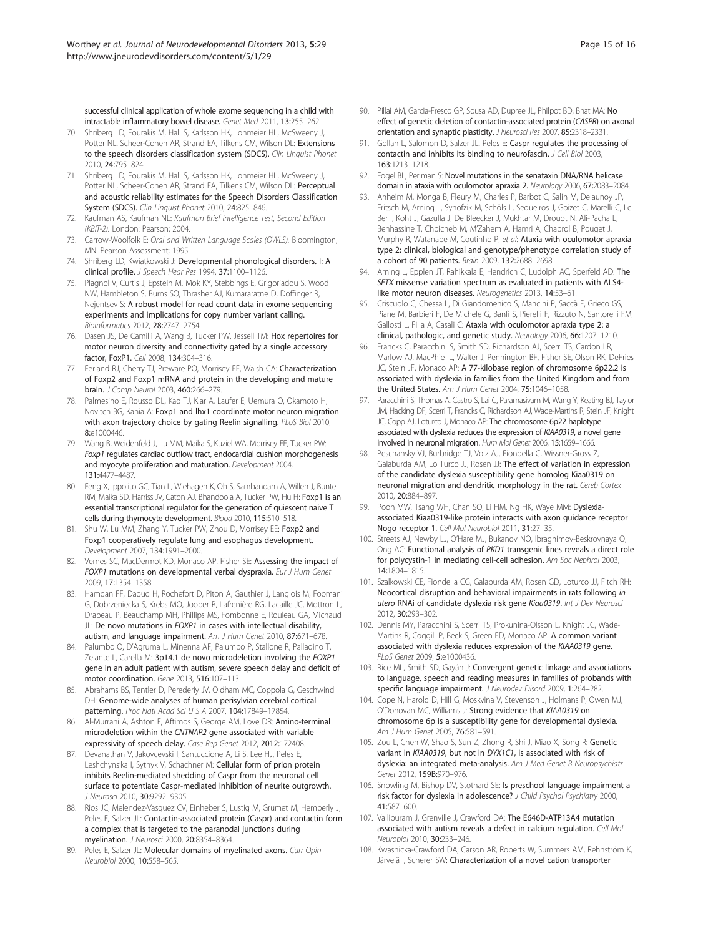<span id="page-14-0"></span>successful clinical application of whole exome sequencing in a child with intractable inflammatory bowel disease. Genet Med 2011, 13:255–262.

- 70. Shriberg LD, Fourakis M, Hall S, Karlsson HK, Lohmeier HL, McSweeny J, Potter NL, Scheer-Cohen AR, Strand EA, Tilkens CM, Wilson DL: Extensions to the speech disorders classification system (SDCS). Clin Linguist Phonet 2010, 24:795–824.
- 71. Shriberg LD, Fourakis M, Hall S, Karlsson HK, Lohmeier HL, McSweeny J, Potter NL, Scheer-Cohen AR, Strand EA, Tilkens CM, Wilson DL: Perceptual and acoustic reliability estimates for the Speech Disorders Classification System (SDCS). Clin Linguist Phonet 2010, 24:825–846.
- 72. Kaufman AS, Kaufman NL: Kaufman Brief Intelligence Test, Second Edition (KBIT-2). London: Pearson; 2004.
- 73. Carrow-Woolfolk E: Oral and Written Language Scales (OWLS). Bloomington, MN: Pearson Assessment; 1995.
- 74. Shriberg LD, Kwiatkowski J: Developmental phonological disorders. I: A clinical profile. J Speech Hear Res 1994, 37:1100–1126.
- 75. Plagnol V, Curtis J, Epstein M, Mok KY, Stebbings E, Grigoriadou S, Wood NW, Hambleton S, Burns SO, Thrasher AJ, Kumararatne D, Doffinger R, Nejentsev S: A robust model for read count data in exome sequencing experiments and implications for copy number variant calling. Bioinformatics 2012, 28:2747–2754.
- 76. Dasen JS, De Camilli A, Wang B, Tucker PW, Jessell TM: Hox repertoires for motor neuron diversity and connectivity gated by a single accessory factor, FoxP1. Cell 2008, 134:304–316.
- 77. Ferland RJ, Cherry TJ, Preware PO, Morrisey EE, Walsh CA: Characterization of Foxp2 and Foxp1 mRNA and protein in the developing and mature brain. J Comp Neurol 2003, 460:266–279.
- 78. Palmesino E, Rousso DL, Kao TJ, Klar A, Laufer E, Uemura O, Okamoto H, Novitch BG, Kania A: Foxp1 and lhx1 coordinate motor neuron migration with axon trajectory choice by gating Reelin signalling. PLoS Biol 2010, 8:e1000446.
- 79. Wang B, Weidenfeld J, Lu MM, Maika S, Kuziel WA, Morrisey EE, Tucker PW: Foxp1 regulates cardiac outflow tract, endocardial cushion morphogenesis and myocyte proliferation and maturation. Development 2004, 131:4477–4487.
- 80. Feng X, Ippolito GC, Tian L, Wiehagen K, Oh S, Sambandam A, Willen J, Bunte RM, Maika SD, Harriss JV, Caton AJ, Bhandoola A, Tucker PW, Hu H: Foxp1 is an essential transcriptional regulator for the generation of quiescent naive T cells during thymocyte development. Blood 2010, 115:510–518.
- 81. Shu W, Lu MM, Zhang Y, Tucker PW, Zhou D, Morrisey EE: Foxp2 and Foxp1 cooperatively regulate lung and esophagus development. Development 2007, 134:1991–2000.
- 82. Vernes SC, MacDermot KD, Monaco AP, Fisher SE: Assessing the impact of FOXP1 mutations on developmental verbal dyspraxia. Eur J Hum Genet 2009, 17:1354–1358.
- 83. Hamdan FF, Daoud H, Rochefort D, Piton A, Gauthier J, Langlois M, Foomani G, Dobrzeniecka S, Krebs MO, Joober R, Lafrenière RG, Lacaille JC, Mottron L, Drapeau P, Beauchamp MH, Phillips MS, Fombonne E, Rouleau GA, Michaud JL: De novo mutations in FOXP1 in cases with intellectual disability, autism, and language impairment. Am J Hum Genet 2010, 87:671–678.
- 84. Palumbo O, D'Agruma L, Minenna AF, Palumbo P, Stallone R, Palladino T, Zelante L, Carella M: 3p14.1 de novo microdeletion involving the FOXP1 gene in an adult patient with autism, severe speech delay and deficit of motor coordination. Gene 2013, 516:107–113.
- 85. Abrahams BS, Tentler D, Perederiy JV, Oldham MC, Coppola G, Geschwind DH: Genome-wide analyses of human perisylvian cerebral cortical patterning. Proc Natl Acad Sci U S A 2007, 104:17849–17854.
- 86. Al-Murrani A, Ashton F, Aftimos S, George AM, Love DR: Amino-terminal microdeletion within the CNTNAP2 gene associated with variable expressivity of speech delay. Case Rep Genet 2012, 2012:172408.
- 87. Devanathan V, Jakovcevski I, Santuccione A, Li S, Lee HJ, Peles E, Leshchyns'ka I, Sytnyk V, Schachner M: Cellular form of prion protein inhibits Reelin-mediated shedding of Caspr from the neuronal cell surface to potentiate Caspr-mediated inhibition of neurite outgrowth. J Neurosci 2010, 30:9292–9305.
- 88. Rios JC, Melendez-Vasquez CV, Einheber S, Lustig M, Grumet M, Hemperly J, Peles E, Salzer JL: Contactin-associated protein (Caspr) and contactin form a complex that is targeted to the paranodal junctions during myelination. J Neurosci 2000, 20:8354–8364.
- 89. Peles E, Salzer JL: Molecular domains of myelinated axons. Curr Opin Neurobiol 2000, 10:558–565.
- 90. Pillai AM, Garcia-Fresco GP, Sousa AD, Dupree JL, Philpot BD, Bhat MA: No effect of genetic deletion of contactin-associated protein (CASPR) on axonal orientation and synaptic plasticity. J Neurosci Res 2007, 85:2318–2331.
- 91. Gollan L, Salomon D, Salzer JL, Peles E: Caspr regulates the processing of contactin and inhibits its binding to neurofascin. J Cell Biol 2003, 163:1213–1218.
- 92. Fogel BL, Perlman S: Novel mutations in the senataxin DNA/RNA helicase domain in ataxia with oculomotor apraxia 2. Neurology 2006, 67:2083–2084.
- 93. Anheim M, Monga B, Fleury M, Charles P, Barbot C, Salih M, Delaunoy JP, Fritsch M, Arning L, Synofzik M, Schöls L, Sequeiros J, Goizet C, Marelli C, Le Ber I, Koht J, Gazulla J, De Bleecker J, Mukhtar M, Drouot N, Ali-Pacha L, Benhassine T, Chbicheb M, M'Zahem A, Hamri A, Chabrol B, Pouget J, Murphy R, Watanabe M, Coutinho P, et al: Ataxia with oculomotor apraxia type 2: clinical, biological and genotype/phenotype correlation study of a cohort of 90 patients. Brain 2009, 132:2688–2698.
- 94. Arning L, Epplen JT, Rahikkala E, Hendrich C, Ludolph AC, Sperfeld AD: The SETX missense variation spectrum as evaluated in patients with ALS4 like motor neuron diseases. Neurogenetics 2013, 14:53-61.
- 95. Criscuolo C, Chessa L, Di Giandomenico S, Mancini P, Saccà F, Grieco GS, Piane M, Barbieri F, De Michele G, Banfi S, Pierelli F, Rizzuto N, Santorelli FM, Gallosti L, Filla A, Casali C: Ataxia with oculomotor apraxia type 2: a clinical, pathologic, and genetic study. Neurology 2006, 66:1207–1210.
- 96. Francks C, Paracchini S, Smith SD, Richardson AJ, Scerri TS, Cardon LR, Marlow AJ, MacPhie IL, Walter J, Pennington BF, Fisher SE, Olson RK, DeFries JC, Stein JF, Monaco AP: A 77-kilobase region of chromosome 6p22.2 is associated with dyslexia in families from the United Kingdom and from the United States. Am J Hum Genet 2004, 75:1046-1058.
- 97. Paracchini S, Thomas A, Castro S, Lai C, Paramasivam M, Wang Y, Keating BJ, Taylor JM, Hacking DF, Scerri T, Francks C, Richardson AJ, Wade-Martins R, Stein JF, Knight JC, Copp AJ, Loturco J, Monaco AP: The chromosome 6p22 haplotype associated with dyslexia reduces the expression of KIAA0319, a novel gene involved in neuronal migration. Hum Mol Genet 2006, 15:1659–1666.
- 98. Peschansky VJ, Burbridge TJ, Volz AJ, Fiondella C, Wissner-Gross Z, Galaburda AM, Lo Turco JJ, Rosen JJ: The effect of variation in expression of the candidate dyslexia susceptibility gene homolog Kiaa0319 on neuronal migration and dendritic morphology in the rat. Cereb Cortex 2010, 20:884–897.
- 99. Poon MW, Tsang WH, Chan SO, Li HM, Ng HK, Waye MM: Dyslexiaassociated Kiaa0319-like protein interacts with axon guidance receptor Nogo receptor 1. Cell Mol Neurobiol 2011, 31:27–35.
- 100. Streets AJ, Newby LJ, O'Hare MJ, Bukanov NO, Ibraghimov-Beskrovnaya O, Ong AC: Functional analysis of PKD1 transgenic lines reveals a direct role for polycystin-1 in mediating cell-cell adhesion. Am Soc Nephrol 2003, 14:1804–1815.
- 101. Szalkowski CE, Fiondella CG, Galaburda AM, Rosen GD, Loturco JJ, Fitch RH: Neocortical disruption and behavioral impairments in rats following in utero RNAi of candidate dyslexia risk gene Kiaa0319. Int J Dev Neurosci 2012, 30:293–302.
- 102. Dennis MY, Paracchini S, Scerri TS, Prokunina-Olsson L, Knight JC, Wade-Martins R, Coggill P, Beck S, Green ED, Monaco AP: A common variant associated with dyslexia reduces expression of the KIAA0319 gene. PLoS Genet 2009, 5:e1000436.
- 103. Rice ML, Smith SD, Gayán J: Convergent genetic linkage and associations to language, speech and reading measures in families of probands with specific language impairment. J Neurodev Disord 2009, 1:264–282.
- 104. Cope N, Harold D, Hill G, Moskvina V, Stevenson J, Holmans P, Owen MJ, O'Donovan MC, Williams J: Strong evidence that KIAA0319 on chromosome 6p is a susceptibility gene for developmental dyslexia. Am J Hum Genet 2005, 76:581–591.
- 105. Zou L, Chen W, Shao S, Sun Z, Zhong R, Shi J, Miao X, Song R: Genetic variant in KIAA0319, but not in DYX1C1, is associated with risk of dyslexia: an integrated meta-analysis. Am J Med Genet B Neuropsychiatr Genet 2012, 159B:970–976.
- 106. Snowling M, Bishop DV, Stothard SE: Is preschool language impairment a risk factor for dyslexia in adolescence? J Child Psychol Psychiatry 2000, 41:587–600.
- 107. Vallipuram J, Grenville J, Crawford DA: The E646D-ATP13A4 mutation associated with autism reveals a defect in calcium regulation. Cell Mol Neurobiol 2010, 30:233–246.
- 108. Kwasnicka-Crawford DA, Carson AR, Roberts W, Summers AM, Rehnström K, Järvelä I, Scherer SW: Characterization of a novel cation transporter